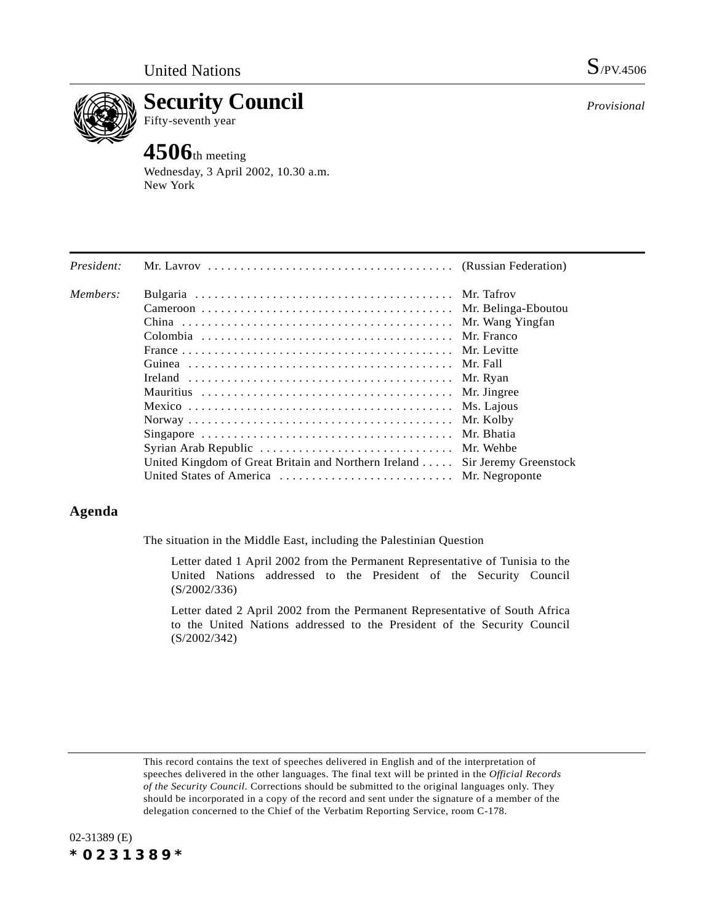

**Security Council** Fifty-seventh year

## **4506**th meeting

Wednesday, 3 April 2002, 10.30 a.m. New York

*Provisional*

| President: |                                                                            |  |
|------------|----------------------------------------------------------------------------|--|
| Members:   |                                                                            |  |
|            |                                                                            |  |
|            |                                                                            |  |
|            |                                                                            |  |
|            |                                                                            |  |
|            |                                                                            |  |
|            |                                                                            |  |
|            |                                                                            |  |
|            |                                                                            |  |
|            |                                                                            |  |
|            |                                                                            |  |
|            | Syrian Arab Republic  Mr. Wehbe                                            |  |
|            | United Kingdom of Great Britain and Northern Ireland Sir Jeremy Greenstock |  |
|            |                                                                            |  |
|            |                                                                            |  |

## **Agenda**

The situation in the Middle East, including the Palestinian Question

Letter dated 1 April 2002 from the Permanent Representative of Tunisia to the United Nations addressed to the President of the Security Council (S/2002/336)

Letter dated 2 April 2002 from the Permanent Representative of South Africa to the United Nations addressed to the President of the Security Council (S/2002/342)

This record contains the text of speeches delivered in English and of the interpretation of speeches delivered in the other languages. The final text will be printed in the *Official Records of the Security Council*. Corrections should be submitted to the original languages only. They should be incorporated in a copy of the record and sent under the signature of a member of the delegation concerned to the Chief of the Verbatim Reporting Service, room C-178.

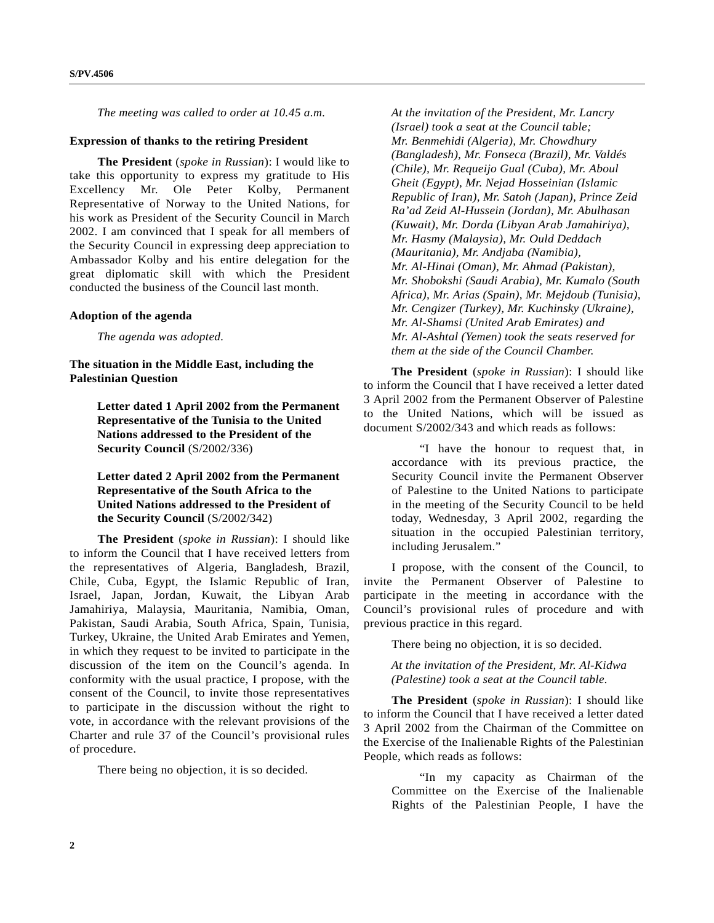*The meeting was called to order at 10.45 a.m.*

## **Expression of thanks to the retiring President**

**The President** (*spoke in Russian*): I would like to take this opportunity to express my gratitude to His Excellency Mr. Ole Peter Kolby, Permanent Representative of Norway to the United Nations, for his work as President of the Security Council in March 2002. I am convinced that I speak for all members of the Security Council in expressing deep appreciation to Ambassador Kolby and his entire delegation for the great diplomatic skill with which the President conducted the business of the Council last month.

## **Adoption of the agenda**

*The agenda was adopted.*

**The situation in the Middle East, including the Palestinian Question**

> **Letter dated 1 April 2002 from the Permanent Representative of the Tunisia to the United Nations addressed to the President of the Security Council** (S/2002/336)

> **Letter dated 2 April 2002 from the Permanent Representative of the South Africa to the United Nations addressed to the President of the Security Council** (S/2002/342)

**The President** (*spoke in Russian*): I should like to inform the Council that I have received letters from the representatives of Algeria, Bangladesh, Brazil, Chile, Cuba, Egypt, the Islamic Republic of Iran, Israel, Japan, Jordan, Kuwait, the Libyan Arab Jamahiriya, Malaysia, Mauritania, Namibia, Oman, Pakistan, Saudi Arabia, South Africa, Spain, Tunisia, Turkey, Ukraine, the United Arab Emirates and Yemen, in which they request to be invited to participate in the discussion of the item on the Council's agenda. In conformity with the usual practice, I propose, with the consent of the Council, to invite those representatives to participate in the discussion without the right to vote, in accordance with the relevant provisions of the Charter and rule 37 of the Council's provisional rules of procedure.

There being no objection, it is so decided.

*At the invitation of the President, Mr. Lancry (Israel) took a seat at the Council table; Mr. Benmehidi (Algeria), Mr. Chowdhury (Bangladesh), Mr. Fonseca (Brazil), Mr. Valdés (Chile), Mr. Requeijo Gual (Cuba), Mr. Aboul Gheit (Egypt), Mr. Nejad Hosseinian (Islamic Republic of Iran), Mr. Satoh (Japan), Prince Zeid Ra'ad Zeid Al-Hussein (Jordan), Mr. Abulhasan (Kuwait), Mr. Dorda (Libyan Arab Jamahiriya), Mr. Hasmy (Malaysia), Mr. Ould Deddach (Mauritania), Mr. Andjaba (Namibia), Mr. Al-Hinai (Oman), Mr. Ahmad (Pakistan), Mr. Shobokshi (Saudi Arabia), Mr. Kumalo (South Africa), Mr. Arias (Spain), Mr. Mejdoub (Tunisia), Mr. Cengizer (Turkey), Mr. Kuchinsky (Ukraine), Mr. Al-Shamsi (United Arab Emirates) and Mr. Al-Ashtal (Yemen) took the seats reserved for them at the side of the Council Chamber.*

**The President** (*spoke in Russian*): I should like to inform the Council that I have received a letter dated 3 April 2002 from the Permanent Observer of Palestine to the United Nations, which will be issued as document S/2002/343 and which reads as follows:

"I have the honour to request that, in accordance with its previous practice, the Security Council invite the Permanent Observer of Palestine to the United Nations to participate in the meeting of the Security Council to be held today, Wednesday, 3 April 2002, regarding the situation in the occupied Palestinian territory, including Jerusalem."

I propose, with the consent of the Council, to invite the Permanent Observer of Palestine to participate in the meeting in accordance with the Council's provisional rules of procedure and with previous practice in this regard.

There being no objection, it is so decided.

*At the invitation of the President, Mr. Al-Kidwa (Palestine) took a seat at the Council table.*

**The President** (*spoke in Russian*): I should like to inform the Council that I have received a letter dated 3 April 2002 from the Chairman of the Committee on the Exercise of the Inalienable Rights of the Palestinian People, which reads as follows:

"In my capacity as Chairman of the Committee on the Exercise of the Inalienable Rights of the Palestinian People, I have the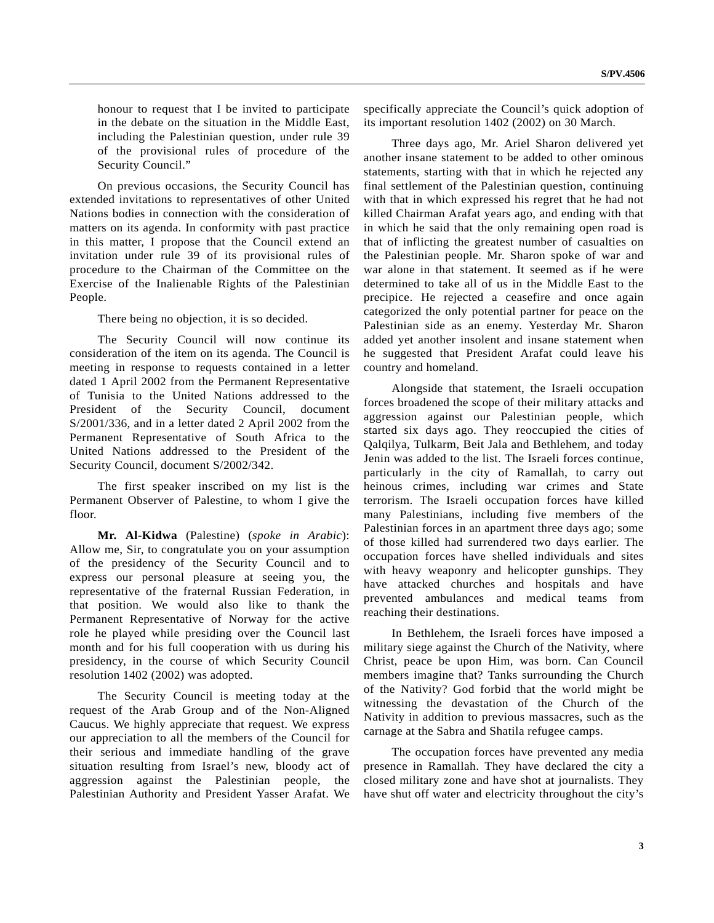honour to request that I be invited to participate in the debate on the situation in the Middle East, including the Palestinian question, under rule 39 of the provisional rules of procedure of the Security Council."

On previous occasions, the Security Council has extended invitations to representatives of other United Nations bodies in connection with the consideration of matters on its agenda. In conformity with past practice in this matter, I propose that the Council extend an invitation under rule 39 of its provisional rules of procedure to the Chairman of the Committee on the Exercise of the Inalienable Rights of the Palestinian People.

There being no objection, it is so decided.

The Security Council will now continue its consideration of the item on its agenda. The Council is meeting in response to requests contained in a letter dated 1 April 2002 from the Permanent Representative of Tunisia to the United Nations addressed to the President of the Security Council, document S/2001/336, and in a letter dated 2 April 2002 from the Permanent Representative of South Africa to the United Nations addressed to the President of the Security Council, document S/2002/342.

The first speaker inscribed on my list is the Permanent Observer of Palestine, to whom I give the floor.

**Mr. Al-Kidwa** (Palestine) (*spoke in Arabic*): Allow me, Sir, to congratulate you on your assumption of the presidency of the Security Council and to express our personal pleasure at seeing you, the representative of the fraternal Russian Federation, in that position. We would also like to thank the Permanent Representative of Norway for the active role he played while presiding over the Council last month and for his full cooperation with us during his presidency, in the course of which Security Council resolution 1402 (2002) was adopted.

The Security Council is meeting today at the request of the Arab Group and of the Non-Aligned Caucus. We highly appreciate that request. We express our appreciation to all the members of the Council for their serious and immediate handling of the grave situation resulting from Israel's new, bloody act of aggression against the Palestinian people, the Palestinian Authority and President Yasser Arafat. We specifically appreciate the Council's quick adoption of its important resolution 1402 (2002) on 30 March.

Three days ago, Mr. Ariel Sharon delivered yet another insane statement to be added to other ominous statements, starting with that in which he rejected any final settlement of the Palestinian question, continuing with that in which expressed his regret that he had not killed Chairman Arafat years ago, and ending with that in which he said that the only remaining open road is that of inflicting the greatest number of casualties on the Palestinian people. Mr. Sharon spoke of war and war alone in that statement. It seemed as if he were determined to take all of us in the Middle East to the precipice. He rejected a ceasefire and once again categorized the only potential partner for peace on the Palestinian side as an enemy. Yesterday Mr. Sharon added yet another insolent and insane statement when he suggested that President Arafat could leave his country and homeland.

Alongside that statement, the Israeli occupation forces broadened the scope of their military attacks and aggression against our Palestinian people, which started six days ago. They reoccupied the cities of Qalqilya, Tulkarm, Beit Jala and Bethlehem, and today Jenin was added to the list. The Israeli forces continue, particularly in the city of Ramallah, to carry out heinous crimes, including war crimes and State terrorism. The Israeli occupation forces have killed many Palestinians, including five members of the Palestinian forces in an apartment three days ago; some of those killed had surrendered two days earlier. The occupation forces have shelled individuals and sites with heavy weaponry and helicopter gunships. They have attacked churches and hospitals and have prevented ambulances and medical teams from reaching their destinations.

In Bethlehem, the Israeli forces have imposed a military siege against the Church of the Nativity, where Christ, peace be upon Him, was born. Can Council members imagine that? Tanks surrounding the Church of the Nativity? God forbid that the world might be witnessing the devastation of the Church of the Nativity in addition to previous massacres, such as the carnage at the Sabra and Shatila refugee camps.

The occupation forces have prevented any media presence in Ramallah. They have declared the city a closed military zone and have shot at journalists. They have shut off water and electricity throughout the city's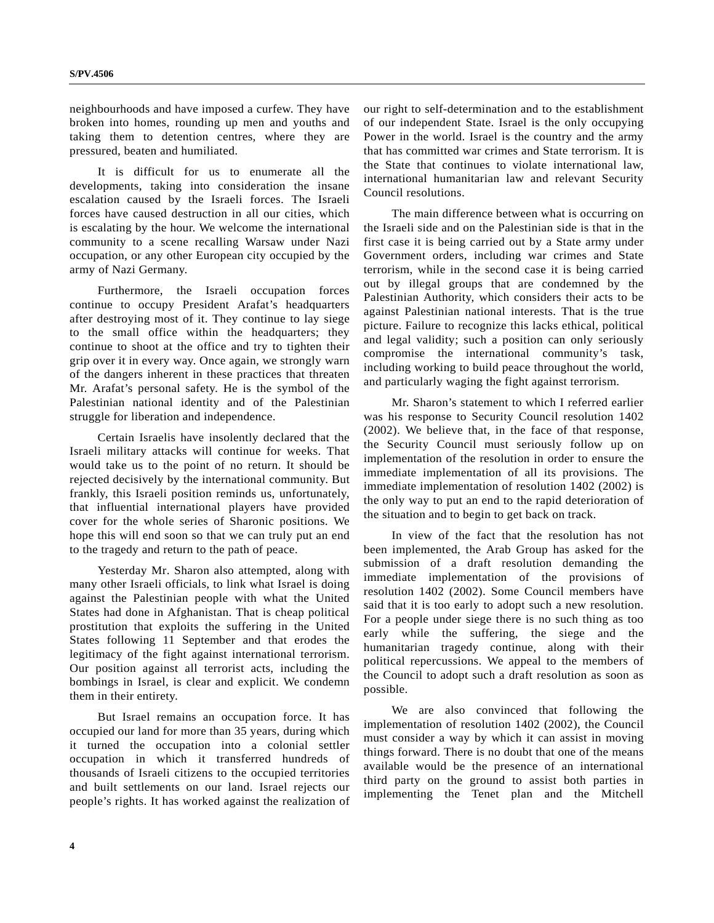neighbourhoods and have imposed a curfew. They have broken into homes, rounding up men and youths and taking them to detention centres, where they are pressured, beaten and humiliated.

It is difficult for us to enumerate all the developments, taking into consideration the insane escalation caused by the Israeli forces. The Israeli forces have caused destruction in all our cities, which is escalating by the hour. We welcome the international community to a scene recalling Warsaw under Nazi occupation, or any other European city occupied by the army of Nazi Germany.

Furthermore, the Israeli occupation forces continue to occupy President Arafat's headquarters after destroying most of it. They continue to lay siege to the small office within the headquarters; they continue to shoot at the office and try to tighten their grip over it in every way. Once again, we strongly warn of the dangers inherent in these practices that threaten Mr. Arafat's personal safety. He is the symbol of the Palestinian national identity and of the Palestinian struggle for liberation and independence.

Certain Israelis have insolently declared that the Israeli military attacks will continue for weeks. That would take us to the point of no return. It should be rejected decisively by the international community. But frankly, this Israeli position reminds us, unfortunately, that influential international players have provided cover for the whole series of Sharonic positions. We hope this will end soon so that we can truly put an end to the tragedy and return to the path of peace.

Yesterday Mr. Sharon also attempted, along with many other Israeli officials, to link what Israel is doing against the Palestinian people with what the United States had done in Afghanistan. That is cheap political prostitution that exploits the suffering in the United States following 11 September and that erodes the legitimacy of the fight against international terrorism. Our position against all terrorist acts, including the bombings in Israel, is clear and explicit. We condemn them in their entirety.

But Israel remains an occupation force. It has occupied our land for more than 35 years, during which it turned the occupation into a colonial settler occupation in which it transferred hundreds of thousands of Israeli citizens to the occupied territories and built settlements on our land. Israel rejects our people's rights. It has worked against the realization of our right to self-determination and to the establishment of our independent State. Israel is the only occupying Power in the world. Israel is the country and the army that has committed war crimes and State terrorism. It is the State that continues to violate international law, international humanitarian law and relevant Security Council resolutions.

The main difference between what is occurring on the Israeli side and on the Palestinian side is that in the first case it is being carried out by a State army under Government orders, including war crimes and State terrorism, while in the second case it is being carried out by illegal groups that are condemned by the Palestinian Authority, which considers their acts to be against Palestinian national interests. That is the true picture. Failure to recognize this lacks ethical, political and legal validity; such a position can only seriously compromise the international community's task, including working to build peace throughout the world, and particularly waging the fight against terrorism.

Mr. Sharon's statement to which I referred earlier was his response to Security Council resolution 1402 (2002). We believe that, in the face of that response, the Security Council must seriously follow up on implementation of the resolution in order to ensure the immediate implementation of all its provisions. The immediate implementation of resolution 1402 (2002) is the only way to put an end to the rapid deterioration of the situation and to begin to get back on track.

In view of the fact that the resolution has not been implemented, the Arab Group has asked for the submission of a draft resolution demanding the immediate implementation of the provisions of resolution 1402 (2002). Some Council members have said that it is too early to adopt such a new resolution. For a people under siege there is no such thing as too early while the suffering, the siege and the humanitarian tragedy continue, along with their political repercussions. We appeal to the members of the Council to adopt such a draft resolution as soon as possible.

We are also convinced that following the implementation of resolution 1402 (2002), the Council must consider a way by which it can assist in moving things forward. There is no doubt that one of the means available would be the presence of an international third party on the ground to assist both parties in implementing the Tenet plan and the Mitchell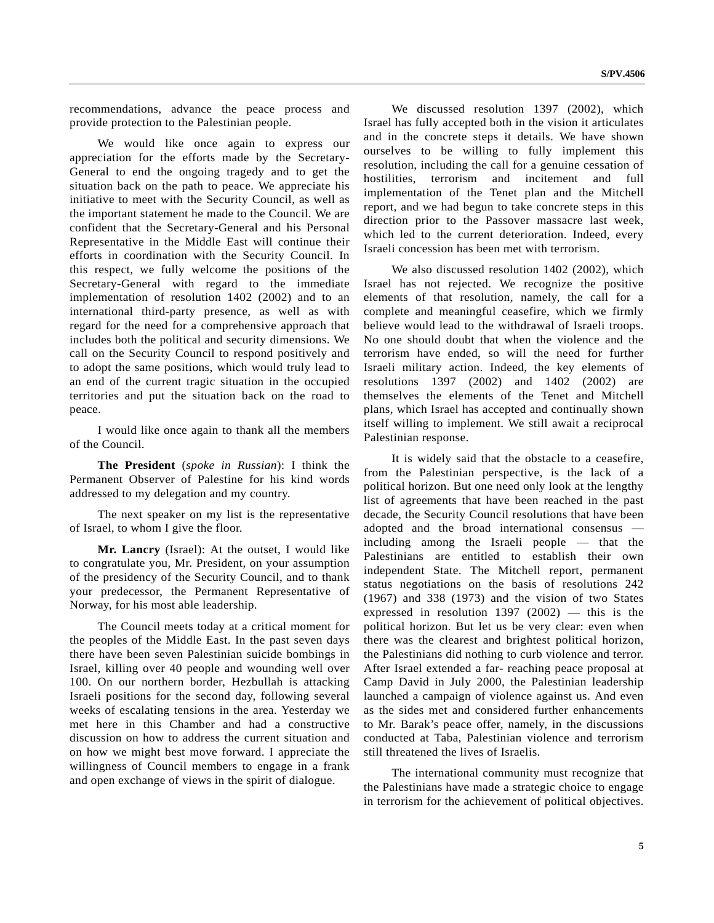recommendations, advance the peace process and provide protection to the Palestinian people.

We would like once again to express our appreciation for the efforts made by the Secretary-General to end the ongoing tragedy and to get the situation back on the path to peace. We appreciate his initiative to meet with the Security Council, as well as the important statement he made to the Council. We are confident that the Secretary-General and his Personal Representative in the Middle East will continue their efforts in coordination with the Security Council. In this respect, we fully welcome the positions of the Secretary-General with regard to the immediate implementation of resolution 1402 (2002) and to an international third-party presence, as well as with regard for the need for a comprehensive approach that includes both the political and security dimensions. We call on the Security Council to respond positively and to adopt the same positions, which would truly lead to an end of the current tragic situation in the occupied territories and put the situation back on the road to peace.

I would like once again to thank all the members of the Council.

**The President** (*spoke in Russian*): I think the Permanent Observer of Palestine for his kind words addressed to my delegation and my country.

The next speaker on my list is the representative of Israel, to whom I give the floor.

**Mr. Lancry** (Israel): At the outset, I would like to congratulate you, Mr. President, on your assumption of the presidency of the Security Council, and to thank your predecessor, the Permanent Representative of Norway, for his most able leadership.

The Council meets today at a critical moment for the peoples of the Middle East. In the past seven days there have been seven Palestinian suicide bombings in Israel, killing over 40 people and wounding well over 100. On our northern border, Hezbullah is attacking Israeli positions for the second day, following several weeks of escalating tensions in the area. Yesterday we met here in this Chamber and had a constructive discussion on how to address the current situation and on how we might best move forward. I appreciate the willingness of Council members to engage in a frank and open exchange of views in the spirit of dialogue.

We discussed resolution 1397 (2002), which Israel has fully accepted both in the vision it articulates and in the concrete steps it details. We have shown ourselves to be willing to fully implement this resolution, including the call for a genuine cessation of hostilities, terrorism and incitement and full implementation of the Tenet plan and the Mitchell report, and we had begun to take concrete steps in this direction prior to the Passover massacre last week, which led to the current deterioration. Indeed, every Israeli concession has been met with terrorism.

We also discussed resolution 1402 (2002), which Israel has not rejected. We recognize the positive elements of that resolution, namely, the call for a complete and meaningful ceasefire, which we firmly believe would lead to the withdrawal of Israeli troops. No one should doubt that when the violence and the terrorism have ended, so will the need for further Israeli military action. Indeed, the key elements of resolutions 1397 (2002) and 1402 (2002) are themselves the elements of the Tenet and Mitchell plans, which Israel has accepted and continually shown itself willing to implement. We still await a reciprocal Palestinian response.

It is widely said that the obstacle to a ceasefire, from the Palestinian perspective, is the lack of a political horizon. But one need only look at the lengthy list of agreements that have been reached in the past decade, the Security Council resolutions that have been adopted and the broad international consensus including among the Israeli people — that the Palestinians are entitled to establish their own independent State. The Mitchell report, permanent status negotiations on the basis of resolutions 242 (1967) and 338 (1973) and the vision of two States expressed in resolution  $1397$  (2002) — this is the political horizon. But let us be very clear: even when there was the clearest and brightest political horizon, the Palestinians did nothing to curb violence and terror. After Israel extended a far- reaching peace proposal at Camp David in July 2000, the Palestinian leadership launched a campaign of violence against us. And even as the sides met and considered further enhancements to Mr. Barak's peace offer, namely, in the discussions conducted at Taba, Palestinian violence and terrorism still threatened the lives of Israelis.

The international community must recognize that the Palestinians have made a strategic choice to engage in terrorism for the achievement of political objectives.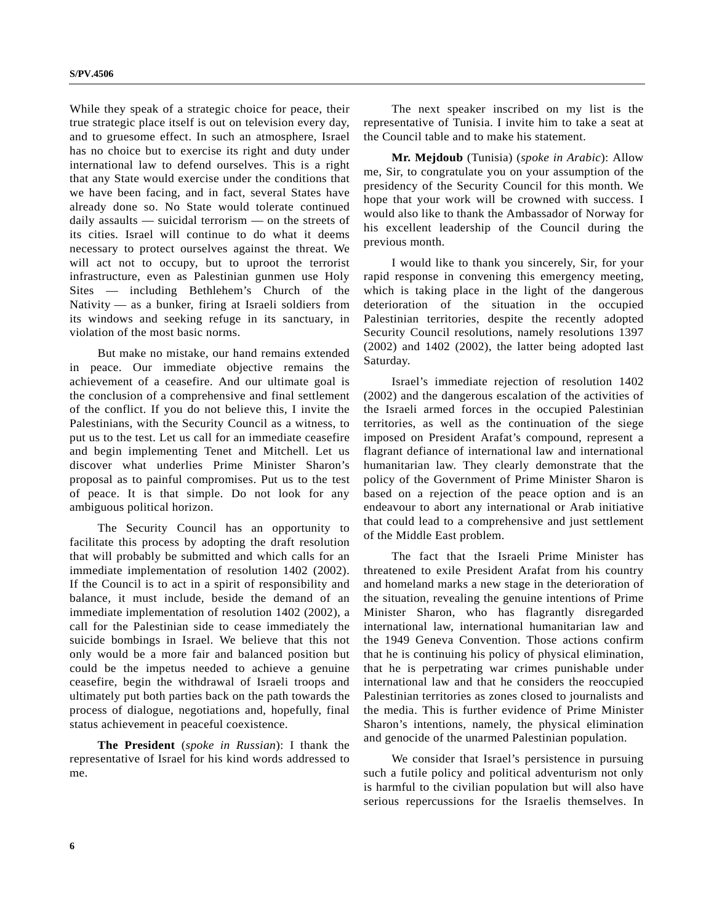While they speak of a strategic choice for peace, their true strategic place itself is out on television every day, and to gruesome effect. In such an atmosphere, Israel has no choice but to exercise its right and duty under international law to defend ourselves. This is a right that any State would exercise under the conditions that we have been facing, and in fact, several States have already done so. No State would tolerate continued daily assaults — suicidal terrorism — on the streets of its cities. Israel will continue to do what it deems necessary to protect ourselves against the threat. We will act not to occupy, but to uproot the terrorist infrastructure, even as Palestinian gunmen use Holy Sites — including Bethlehem's Church of the Nativity — as a bunker, firing at Israeli soldiers from its windows and seeking refuge in its sanctuary, in violation of the most basic norms.

But make no mistake, our hand remains extended in peace. Our immediate objective remains the achievement of a ceasefire. And our ultimate goal is the conclusion of a comprehensive and final settlement of the conflict. If you do not believe this, I invite the Palestinians, with the Security Council as a witness, to put us to the test. Let us call for an immediate ceasefire and begin implementing Tenet and Mitchell. Let us discover what underlies Prime Minister Sharon's proposal as to painful compromises. Put us to the test of peace. It is that simple. Do not look for any ambiguous political horizon.

The Security Council has an opportunity to facilitate this process by adopting the draft resolution that will probably be submitted and which calls for an immediate implementation of resolution 1402 (2002). If the Council is to act in a spirit of responsibility and balance, it must include, beside the demand of an immediate implementation of resolution 1402 (2002), a call for the Palestinian side to cease immediately the suicide bombings in Israel. We believe that this not only would be a more fair and balanced position but could be the impetus needed to achieve a genuine ceasefire, begin the withdrawal of Israeli troops and ultimately put both parties back on the path towards the process of dialogue, negotiations and, hopefully, final status achievement in peaceful coexistence.

**The President** (*spoke in Russian*): I thank the representative of Israel for his kind words addressed to me.

The next speaker inscribed on my list is the representative of Tunisia. I invite him to take a seat at the Council table and to make his statement.

**Mr. Mejdoub** (Tunisia) (*spoke in Arabic*): Allow me, Sir, to congratulate you on your assumption of the presidency of the Security Council for this month. We hope that your work will be crowned with success. I would also like to thank the Ambassador of Norway for his excellent leadership of the Council during the previous month.

I would like to thank you sincerely, Sir, for your rapid response in convening this emergency meeting, which is taking place in the light of the dangerous deterioration of the situation in the occupied Palestinian territories, despite the recently adopted Security Council resolutions, namely resolutions 1397 (2002) and 1402 (2002), the latter being adopted last Saturday.

Israel's immediate rejection of resolution 1402 (2002) and the dangerous escalation of the activities of the Israeli armed forces in the occupied Palestinian territories, as well as the continuation of the siege imposed on President Arafat's compound, represent a flagrant defiance of international law and international humanitarian law. They clearly demonstrate that the policy of the Government of Prime Minister Sharon is based on a rejection of the peace option and is an endeavour to abort any international or Arab initiative that could lead to a comprehensive and just settlement of the Middle East problem.

The fact that the Israeli Prime Minister has threatened to exile President Arafat from his country and homeland marks a new stage in the deterioration of the situation, revealing the genuine intentions of Prime Minister Sharon, who has flagrantly disregarded international law, international humanitarian law and the 1949 Geneva Convention. Those actions confirm that he is continuing his policy of physical elimination, that he is perpetrating war crimes punishable under international law and that he considers the reoccupied Palestinian territories as zones closed to journalists and the media. This is further evidence of Prime Minister Sharon's intentions, namely, the physical elimination and genocide of the unarmed Palestinian population.

We consider that Israel's persistence in pursuing such a futile policy and political adventurism not only is harmful to the civilian population but will also have serious repercussions for the Israelis themselves. In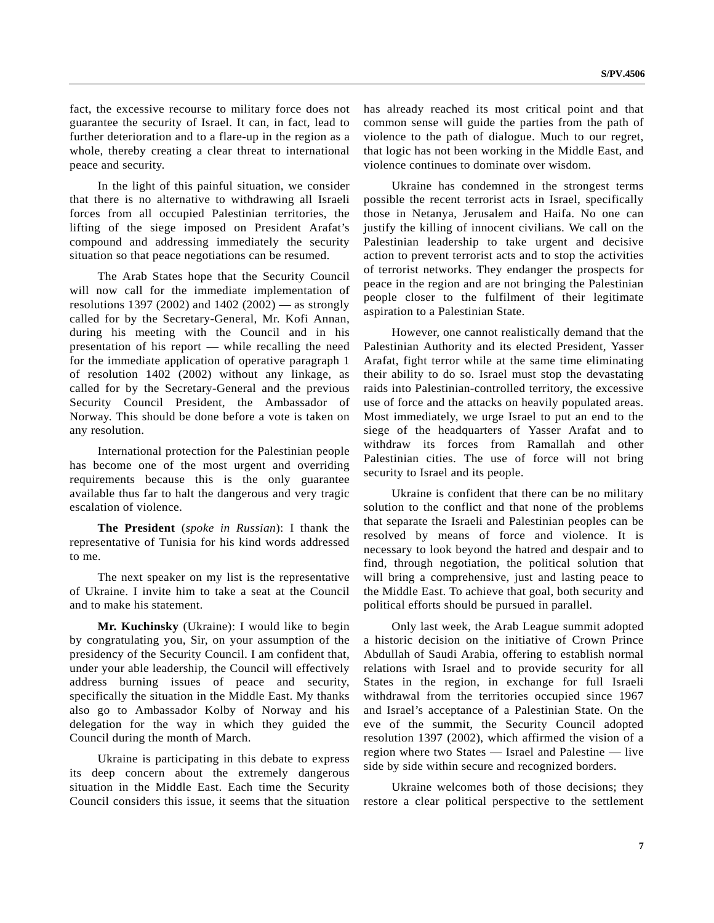fact, the excessive recourse to military force does not guarantee the security of Israel. It can, in fact, lead to further deterioration and to a flare-up in the region as a whole, thereby creating a clear threat to international peace and security.

In the light of this painful situation, we consider that there is no alternative to withdrawing all Israeli forces from all occupied Palestinian territories, the lifting of the siege imposed on President Arafat's compound and addressing immediately the security situation so that peace negotiations can be resumed.

The Arab States hope that the Security Council will now call for the immediate implementation of resolutions 1397 (2002) and 1402 (2002) — as strongly called for by the Secretary-General, Mr. Kofi Annan, during his meeting with the Council and in his presentation of his report — while recalling the need for the immediate application of operative paragraph 1 of resolution 1402 (2002) without any linkage, as called for by the Secretary-General and the previous Security Council President, the Ambassador of Norway. This should be done before a vote is taken on any resolution.

International protection for the Palestinian people has become one of the most urgent and overriding requirements because this is the only guarantee available thus far to halt the dangerous and very tragic escalation of violence.

**The President** (*spoke in Russian*): I thank the representative of Tunisia for his kind words addressed to me.

The next speaker on my list is the representative of Ukraine. I invite him to take a seat at the Council and to make his statement.

**Mr. Kuchinsky** (Ukraine): I would like to begin by congratulating you, Sir, on your assumption of the presidency of the Security Council. I am confident that, under your able leadership, the Council will effectively address burning issues of peace and security, specifically the situation in the Middle East. My thanks also go to Ambassador Kolby of Norway and his delegation for the way in which they guided the Council during the month of March.

Ukraine is participating in this debate to express its deep concern about the extremely dangerous situation in the Middle East. Each time the Security Council considers this issue, it seems that the situation has already reached its most critical point and that common sense will guide the parties from the path of violence to the path of dialogue. Much to our regret, that logic has not been working in the Middle East, and violence continues to dominate over wisdom.

Ukraine has condemned in the strongest terms possible the recent terrorist acts in Israel, specifically those in Netanya, Jerusalem and Haifa. No one can justify the killing of innocent civilians. We call on the Palestinian leadership to take urgent and decisive action to prevent terrorist acts and to stop the activities of terrorist networks. They endanger the prospects for peace in the region and are not bringing the Palestinian people closer to the fulfilment of their legitimate aspiration to a Palestinian State.

However, one cannot realistically demand that the Palestinian Authority and its elected President, Yasser Arafat, fight terror while at the same time eliminating their ability to do so. Israel must stop the devastating raids into Palestinian-controlled territory, the excessive use of force and the attacks on heavily populated areas. Most immediately, we urge Israel to put an end to the siege of the headquarters of Yasser Arafat and to withdraw its forces from Ramallah and other Palestinian cities. The use of force will not bring security to Israel and its people.

Ukraine is confident that there can be no military solution to the conflict and that none of the problems that separate the Israeli and Palestinian peoples can be resolved by means of force and violence. It is necessary to look beyond the hatred and despair and to find, through negotiation, the political solution that will bring a comprehensive, just and lasting peace to the Middle East. To achieve that goal, both security and political efforts should be pursued in parallel.

Only last week, the Arab League summit adopted a historic decision on the initiative of Crown Prince Abdullah of Saudi Arabia, offering to establish normal relations with Israel and to provide security for all States in the region, in exchange for full Israeli withdrawal from the territories occupied since 1967 and Israel's acceptance of a Palestinian State. On the eve of the summit, the Security Council adopted resolution 1397 (2002), which affirmed the vision of a region where two States — Israel and Palestine — live side by side within secure and recognized borders.

Ukraine welcomes both of those decisions; they restore a clear political perspective to the settlement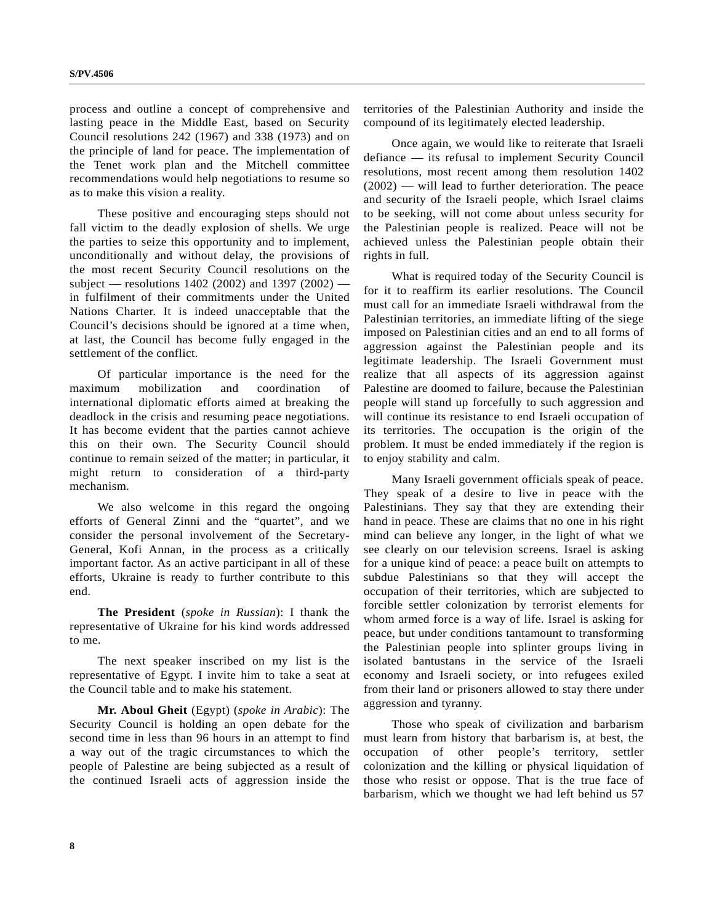process and outline a concept of comprehensive and lasting peace in the Middle East, based on Security Council resolutions 242 (1967) and 338 (1973) and on the principle of land for peace. The implementation of the Tenet work plan and the Mitchell committee recommendations would help negotiations to resume so as to make this vision a reality.

These positive and encouraging steps should not fall victim to the deadly explosion of shells. We urge the parties to seize this opportunity and to implement, unconditionally and without delay, the provisions of the most recent Security Council resolutions on the subject — resolutions 1402 (2002) and 1397 (2002) in fulfilment of their commitments under the United Nations Charter. It is indeed unacceptable that the Council's decisions should be ignored at a time when, at last, the Council has become fully engaged in the settlement of the conflict.

Of particular importance is the need for the maximum mobilization and coordination of international diplomatic efforts aimed at breaking the deadlock in the crisis and resuming peace negotiations. It has become evident that the parties cannot achieve this on their own. The Security Council should continue to remain seized of the matter; in particular, it might return to consideration of a third-party mechanism.

We also welcome in this regard the ongoing efforts of General Zinni and the "quartet", and we consider the personal involvement of the Secretary-General, Kofi Annan, in the process as a critically important factor. As an active participant in all of these efforts, Ukraine is ready to further contribute to this end.

**The President** (*spoke in Russian*): I thank the representative of Ukraine for his kind words addressed to me.

The next speaker inscribed on my list is the representative of Egypt. I invite him to take a seat at the Council table and to make his statement.

**Mr. Aboul Gheit** (Egypt) (*spoke in Arabic*): The Security Council is holding an open debate for the second time in less than 96 hours in an attempt to find a way out of the tragic circumstances to which the people of Palestine are being subjected as a result of the continued Israeli acts of aggression inside the

territories of the Palestinian Authority and inside the compound of its legitimately elected leadership.

Once again, we would like to reiterate that Israeli defiance — its refusal to implement Security Council resolutions, most recent among them resolution 1402 (2002) — will lead to further deterioration. The peace and security of the Israeli people, which Israel claims to be seeking, will not come about unless security for the Palestinian people is realized. Peace will not be achieved unless the Palestinian people obtain their rights in full.

What is required today of the Security Council is for it to reaffirm its earlier resolutions. The Council must call for an immediate Israeli withdrawal from the Palestinian territories, an immediate lifting of the siege imposed on Palestinian cities and an end to all forms of aggression against the Palestinian people and its legitimate leadership. The Israeli Government must realize that all aspects of its aggression against Palestine are doomed to failure, because the Palestinian people will stand up forcefully to such aggression and will continue its resistance to end Israeli occupation of its territories. The occupation is the origin of the problem. It must be ended immediately if the region is to enjoy stability and calm.

Many Israeli government officials speak of peace. They speak of a desire to live in peace with the Palestinians. They say that they are extending their hand in peace. These are claims that no one in his right mind can believe any longer, in the light of what we see clearly on our television screens. Israel is asking for a unique kind of peace: a peace built on attempts to subdue Palestinians so that they will accept the occupation of their territories, which are subjected to forcible settler colonization by terrorist elements for whom armed force is a way of life. Israel is asking for peace, but under conditions tantamount to transforming the Palestinian people into splinter groups living in isolated bantustans in the service of the Israeli economy and Israeli society, or into refugees exiled from their land or prisoners allowed to stay there under aggression and tyranny.

Those who speak of civilization and barbarism must learn from history that barbarism is, at best, the occupation of other people's territory, settler colonization and the killing or physical liquidation of those who resist or oppose. That is the true face of barbarism, which we thought we had left behind us 57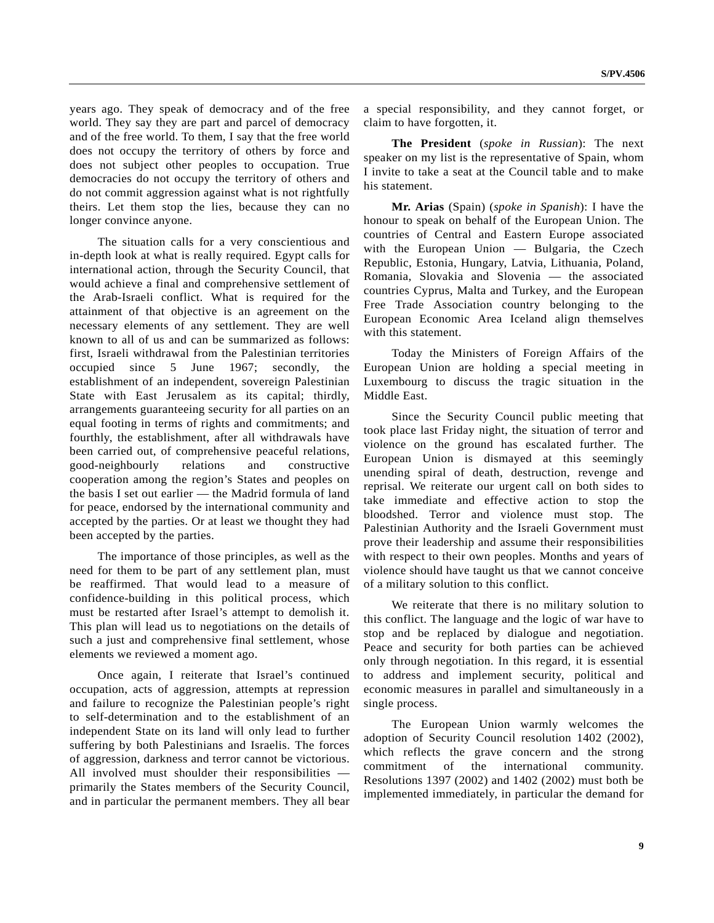years ago. They speak of democracy and of the free world. They say they are part and parcel of democracy and of the free world. To them, I say that the free world does not occupy the territory of others by force and does not subject other peoples to occupation. True democracies do not occupy the territory of others and do not commit aggression against what is not rightfully theirs. Let them stop the lies, because they can no longer convince anyone.

The situation calls for a very conscientious and in-depth look at what is really required. Egypt calls for international action, through the Security Council, that would achieve a final and comprehensive settlement of the Arab-Israeli conflict. What is required for the attainment of that objective is an agreement on the necessary elements of any settlement. They are well known to all of us and can be summarized as follows: first, Israeli withdrawal from the Palestinian territories occupied since 5 June 1967; secondly, the establishment of an independent, sovereign Palestinian State with East Jerusalem as its capital; thirdly, arrangements guaranteeing security for all parties on an equal footing in terms of rights and commitments; and fourthly, the establishment, after all withdrawals have been carried out, of comprehensive peaceful relations, good-neighbourly relations and constructive cooperation among the region's States and peoples on the basis I set out earlier — the Madrid formula of land for peace, endorsed by the international community and accepted by the parties. Or at least we thought they had been accepted by the parties.

The importance of those principles, as well as the need for them to be part of any settlement plan, must be reaffirmed. That would lead to a measure of confidence-building in this political process, which must be restarted after Israel's attempt to demolish it. This plan will lead us to negotiations on the details of such a just and comprehensive final settlement, whose elements we reviewed a moment ago.

Once again, I reiterate that Israel's continued occupation, acts of aggression, attempts at repression and failure to recognize the Palestinian people's right to self-determination and to the establishment of an independent State on its land will only lead to further suffering by both Palestinians and Israelis. The forces of aggression, darkness and terror cannot be victorious. All involved must shoulder their responsibilities primarily the States members of the Security Council, and in particular the permanent members. They all bear

a special responsibility, and they cannot forget, or claim to have forgotten, it.

**The President** (*spoke in Russian*): The next speaker on my list is the representative of Spain, whom I invite to take a seat at the Council table and to make his statement.

**Mr. Arias** (Spain) (*spoke in Spanish*): I have the honour to speak on behalf of the European Union. The countries of Central and Eastern Europe associated with the European Union — Bulgaria, the Czech Republic, Estonia, Hungary, Latvia, Lithuania, Poland, Romania, Slovakia and Slovenia — the associated countries Cyprus, Malta and Turkey, and the European Free Trade Association country belonging to the European Economic Area Iceland align themselves with this statement.

Today the Ministers of Foreign Affairs of the European Union are holding a special meeting in Luxembourg to discuss the tragic situation in the Middle East.

Since the Security Council public meeting that took place last Friday night, the situation of terror and violence on the ground has escalated further. The European Union is dismayed at this seemingly unending spiral of death, destruction, revenge and reprisal. We reiterate our urgent call on both sides to take immediate and effective action to stop the bloodshed. Terror and violence must stop. The Palestinian Authority and the Israeli Government must prove their leadership and assume their responsibilities with respect to their own peoples. Months and years of violence should have taught us that we cannot conceive of a military solution to this conflict.

We reiterate that there is no military solution to this conflict. The language and the logic of war have to stop and be replaced by dialogue and negotiation. Peace and security for both parties can be achieved only through negotiation. In this regard, it is essential to address and implement security, political and economic measures in parallel and simultaneously in a single process.

The European Union warmly welcomes the adoption of Security Council resolution 1402 (2002), which reflects the grave concern and the strong commitment of the international community. Resolutions 1397 (2002) and 1402 (2002) must both be implemented immediately, in particular the demand for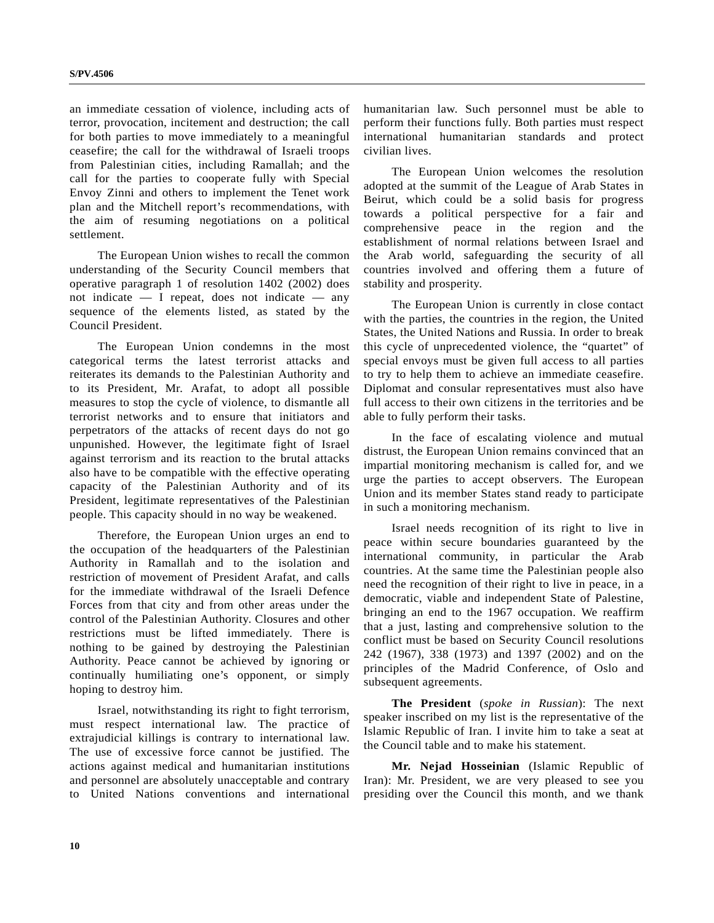an immediate cessation of violence, including acts of terror, provocation, incitement and destruction; the call for both parties to move immediately to a meaningful ceasefire; the call for the withdrawal of Israeli troops from Palestinian cities, including Ramallah; and the call for the parties to cooperate fully with Special Envoy Zinni and others to implement the Tenet work plan and the Mitchell report's recommendations, with the aim of resuming negotiations on a political settlement.

The European Union wishes to recall the common understanding of the Security Council members that operative paragraph 1 of resolution 1402 (2002) does not indicate — I repeat, does not indicate — any sequence of the elements listed, as stated by the Council President.

The European Union condemns in the most categorical terms the latest terrorist attacks and reiterates its demands to the Palestinian Authority and to its President, Mr. Arafat, to adopt all possible measures to stop the cycle of violence, to dismantle all terrorist networks and to ensure that initiators and perpetrators of the attacks of recent days do not go unpunished. However, the legitimate fight of Israel against terrorism and its reaction to the brutal attacks also have to be compatible with the effective operating capacity of the Palestinian Authority and of its President, legitimate representatives of the Palestinian people. This capacity should in no way be weakened.

Therefore, the European Union urges an end to the occupation of the headquarters of the Palestinian Authority in Ramallah and to the isolation and restriction of movement of President Arafat, and calls for the immediate withdrawal of the Israeli Defence Forces from that city and from other areas under the control of the Palestinian Authority. Closures and other restrictions must be lifted immediately. There is nothing to be gained by destroying the Palestinian Authority. Peace cannot be achieved by ignoring or continually humiliating one's opponent, or simply hoping to destroy him.

Israel, notwithstanding its right to fight terrorism, must respect international law. The practice of extrajudicial killings is contrary to international law. The use of excessive force cannot be justified. The actions against medical and humanitarian institutions and personnel are absolutely unacceptable and contrary to United Nations conventions and international

humanitarian law. Such personnel must be able to perform their functions fully. Both parties must respect international humanitarian standards and protect civilian lives.

The European Union welcomes the resolution adopted at the summit of the League of Arab States in Beirut, which could be a solid basis for progress towards a political perspective for a fair and comprehensive peace in the region and the establishment of normal relations between Israel and the Arab world, safeguarding the security of all countries involved and offering them a future of stability and prosperity.

The European Union is currently in close contact with the parties, the countries in the region, the United States, the United Nations and Russia. In order to break this cycle of unprecedented violence, the "quartet" of special envoys must be given full access to all parties to try to help them to achieve an immediate ceasefire. Diplomat and consular representatives must also have full access to their own citizens in the territories and be able to fully perform their tasks.

In the face of escalating violence and mutual distrust, the European Union remains convinced that an impartial monitoring mechanism is called for, and we urge the parties to accept observers. The European Union and its member States stand ready to participate in such a monitoring mechanism.

Israel needs recognition of its right to live in peace within secure boundaries guaranteed by the international community, in particular the Arab countries. At the same time the Palestinian people also need the recognition of their right to live in peace, in a democratic, viable and independent State of Palestine, bringing an end to the 1967 occupation. We reaffirm that a just, lasting and comprehensive solution to the conflict must be based on Security Council resolutions 242 (1967), 338 (1973) and 1397 (2002) and on the principles of the Madrid Conference, of Oslo and subsequent agreements.

**The President** (*spoke in Russian*): The next speaker inscribed on my list is the representative of the Islamic Republic of Iran. I invite him to take a seat at the Council table and to make his statement.

**Mr. Nejad Hosseinian** (Islamic Republic of Iran): Mr. President, we are very pleased to see you presiding over the Council this month, and we thank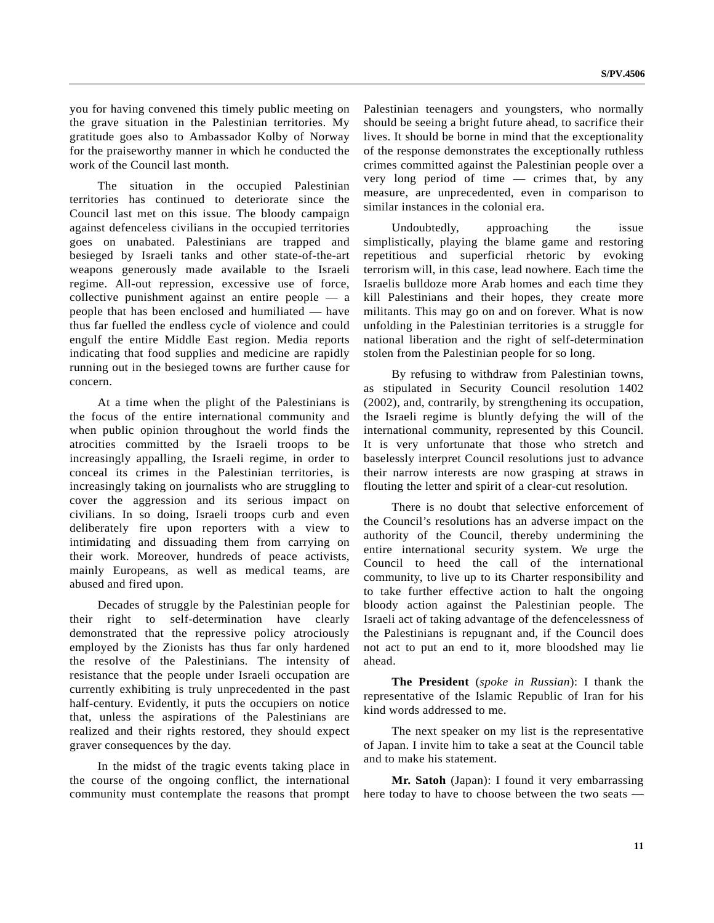you for having convened this timely public meeting on the grave situation in the Palestinian territories. My gratitude goes also to Ambassador Kolby of Norway for the praiseworthy manner in which he conducted the work of the Council last month.

The situation in the occupied Palestinian territories has continued to deteriorate since the Council last met on this issue. The bloody campaign against defenceless civilians in the occupied territories goes on unabated. Palestinians are trapped and besieged by Israeli tanks and other state-of-the-art weapons generously made available to the Israeli regime. All-out repression, excessive use of force, collective punishment against an entire people — a people that has been enclosed and humiliated — have thus far fuelled the endless cycle of violence and could engulf the entire Middle East region. Media reports indicating that food supplies and medicine are rapidly running out in the besieged towns are further cause for concern.

At a time when the plight of the Palestinians is the focus of the entire international community and when public opinion throughout the world finds the atrocities committed by the Israeli troops to be increasingly appalling, the Israeli regime, in order to conceal its crimes in the Palestinian territories, is increasingly taking on journalists who are struggling to cover the aggression and its serious impact on civilians. In so doing, Israeli troops curb and even deliberately fire upon reporters with a view to intimidating and dissuading them from carrying on their work. Moreover, hundreds of peace activists, mainly Europeans, as well as medical teams, are abused and fired upon.

Decades of struggle by the Palestinian people for their right to self-determination have clearly demonstrated that the repressive policy atrociously employed by the Zionists has thus far only hardened the resolve of the Palestinians. The intensity of resistance that the people under Israeli occupation are currently exhibiting is truly unprecedented in the past half-century. Evidently, it puts the occupiers on notice that, unless the aspirations of the Palestinians are realized and their rights restored, they should expect graver consequences by the day.

In the midst of the tragic events taking place in the course of the ongoing conflict, the international community must contemplate the reasons that prompt Palestinian teenagers and youngsters, who normally should be seeing a bright future ahead, to sacrifice their lives. It should be borne in mind that the exceptionality of the response demonstrates the exceptionally ruthless crimes committed against the Palestinian people over a very long period of time — crimes that, by any measure, are unprecedented, even in comparison to similar instances in the colonial era.

Undoubtedly, approaching the issue simplistically, playing the blame game and restoring repetitious and superficial rhetoric by evoking terrorism will, in this case, lead nowhere. Each time the Israelis bulldoze more Arab homes and each time they kill Palestinians and their hopes, they create more militants. This may go on and on forever. What is now unfolding in the Palestinian territories is a struggle for national liberation and the right of self-determination stolen from the Palestinian people for so long.

By refusing to withdraw from Palestinian towns, as stipulated in Security Council resolution 1402 (2002), and, contrarily, by strengthening its occupation, the Israeli regime is bluntly defying the will of the international community, represented by this Council. It is very unfortunate that those who stretch and baselessly interpret Council resolutions just to advance their narrow interests are now grasping at straws in flouting the letter and spirit of a clear-cut resolution.

There is no doubt that selective enforcement of the Council's resolutions has an adverse impact on the authority of the Council, thereby undermining the entire international security system. We urge the Council to heed the call of the international community, to live up to its Charter responsibility and to take further effective action to halt the ongoing bloody action against the Palestinian people. The Israeli act of taking advantage of the defencelessness of the Palestinians is repugnant and, if the Council does not act to put an end to it, more bloodshed may lie ahead.

**The President** (*spoke in Russian*): I thank the representative of the Islamic Republic of Iran for his kind words addressed to me.

The next speaker on my list is the representative of Japan. I invite him to take a seat at the Council table and to make his statement.

**Mr. Satoh** (Japan): I found it very embarrassing here today to have to choose between the two seats —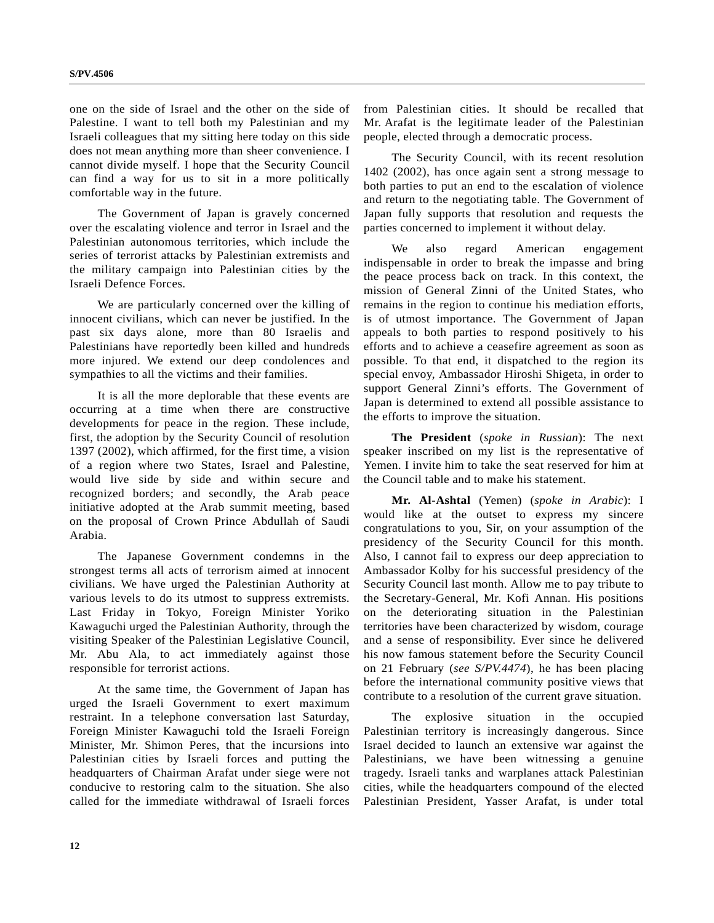one on the side of Israel and the other on the side of Palestine. I want to tell both my Palestinian and my Israeli colleagues that my sitting here today on this side does not mean anything more than sheer convenience. I cannot divide myself. I hope that the Security Council can find a way for us to sit in a more politically comfortable way in the future.

The Government of Japan is gravely concerned over the escalating violence and terror in Israel and the Palestinian autonomous territories, which include the series of terrorist attacks by Palestinian extremists and the military campaign into Palestinian cities by the Israeli Defence Forces.

We are particularly concerned over the killing of innocent civilians, which can never be justified. In the past six days alone, more than 80 Israelis and Palestinians have reportedly been killed and hundreds more injured. We extend our deep condolences and sympathies to all the victims and their families.

It is all the more deplorable that these events are occurring at a time when there are constructive developments for peace in the region. These include, first, the adoption by the Security Council of resolution 1397 (2002), which affirmed, for the first time, a vision of a region where two States, Israel and Palestine, would live side by side and within secure and recognized borders; and secondly, the Arab peace initiative adopted at the Arab summit meeting, based on the proposal of Crown Prince Abdullah of Saudi Arabia.

The Japanese Government condemns in the strongest terms all acts of terrorism aimed at innocent civilians. We have urged the Palestinian Authority at various levels to do its utmost to suppress extremists. Last Friday in Tokyo, Foreign Minister Yoriko Kawaguchi urged the Palestinian Authority, through the visiting Speaker of the Palestinian Legislative Council, Mr. Abu Ala, to act immediately against those responsible for terrorist actions.

At the same time, the Government of Japan has urged the Israeli Government to exert maximum restraint. In a telephone conversation last Saturday, Foreign Minister Kawaguchi told the Israeli Foreign Minister, Mr. Shimon Peres, that the incursions into Palestinian cities by Israeli forces and putting the headquarters of Chairman Arafat under siege were not conducive to restoring calm to the situation. She also called for the immediate withdrawal of Israeli forces

from Palestinian cities. It should be recalled that Mr. Arafat is the legitimate leader of the Palestinian people, elected through a democratic process.

The Security Council, with its recent resolution 1402 (2002), has once again sent a strong message to both parties to put an end to the escalation of violence and return to the negotiating table. The Government of Japan fully supports that resolution and requests the parties concerned to implement it without delay.

We also regard American engagement indispensable in order to break the impasse and bring the peace process back on track. In this context, the mission of General Zinni of the United States, who remains in the region to continue his mediation efforts, is of utmost importance. The Government of Japan appeals to both parties to respond positively to his efforts and to achieve a ceasefire agreement as soon as possible. To that end, it dispatched to the region its special envoy, Ambassador Hiroshi Shigeta, in order to support General Zinni's efforts. The Government of Japan is determined to extend all possible assistance to the efforts to improve the situation.

**The President** (*spoke in Russian*): The next speaker inscribed on my list is the representative of Yemen. I invite him to take the seat reserved for him at the Council table and to make his statement.

**Mr. Al-Ashtal** (Yemen) (*spoke in Arabic*): I would like at the outset to express my sincere congratulations to you, Sir, on your assumption of the presidency of the Security Council for this month. Also, I cannot fail to express our deep appreciation to Ambassador Kolby for his successful presidency of the Security Council last month. Allow me to pay tribute to the Secretary-General, Mr. Kofi Annan. His positions on the deteriorating situation in the Palestinian territories have been characterized by wisdom, courage and a sense of responsibility. Ever since he delivered his now famous statement before the Security Council on 21 February (*see S/PV.4474*), he has been placing before the international community positive views that contribute to a resolution of the current grave situation.

The explosive situation in the occupied Palestinian territory is increasingly dangerous. Since Israel decided to launch an extensive war against the Palestinians, we have been witnessing a genuine tragedy. Israeli tanks and warplanes attack Palestinian cities, while the headquarters compound of the elected Palestinian President, Yasser Arafat, is under total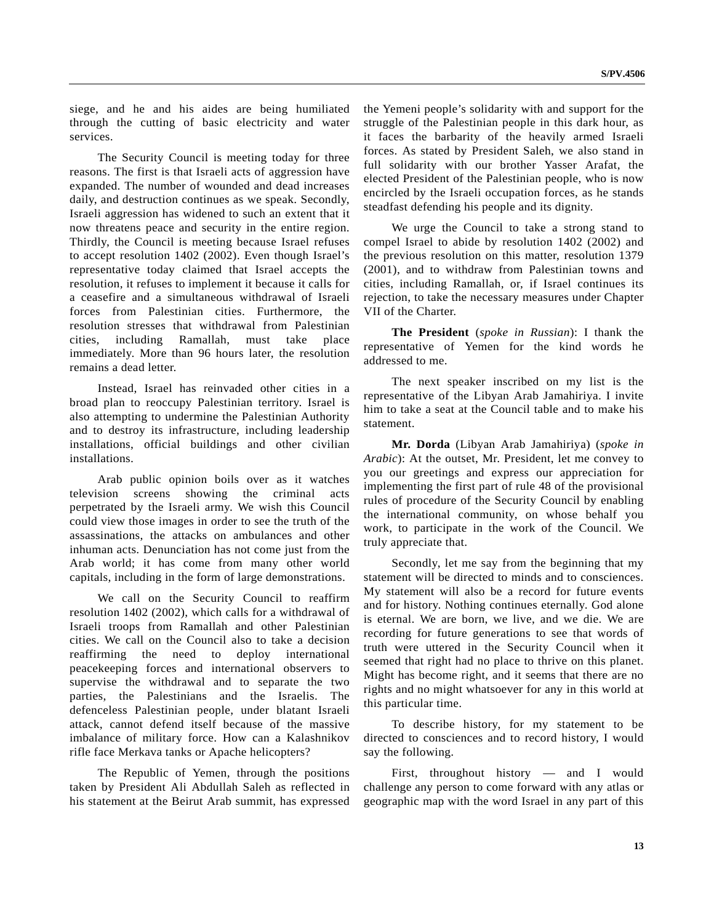siege, and he and his aides are being humiliated through the cutting of basic electricity and water services.

The Security Council is meeting today for three reasons. The first is that Israeli acts of aggression have expanded. The number of wounded and dead increases daily, and destruction continues as we speak. Secondly, Israeli aggression has widened to such an extent that it now threatens peace and security in the entire region. Thirdly, the Council is meeting because Israel refuses to accept resolution 1402 (2002). Even though Israel's representative today claimed that Israel accepts the resolution, it refuses to implement it because it calls for a ceasefire and a simultaneous withdrawal of Israeli forces from Palestinian cities. Furthermore, the resolution stresses that withdrawal from Palestinian cities, including Ramallah, must take place immediately. More than 96 hours later, the resolution remains a dead letter.

Instead, Israel has reinvaded other cities in a broad plan to reoccupy Palestinian territory. Israel is also attempting to undermine the Palestinian Authority and to destroy its infrastructure, including leadership installations, official buildings and other civilian installations.

Arab public opinion boils over as it watches television screens showing the criminal acts perpetrated by the Israeli army. We wish this Council could view those images in order to see the truth of the assassinations, the attacks on ambulances and other inhuman acts. Denunciation has not come just from the Arab world; it has come from many other world capitals, including in the form of large demonstrations.

We call on the Security Council to reaffirm resolution 1402 (2002), which calls for a withdrawal of Israeli troops from Ramallah and other Palestinian cities. We call on the Council also to take a decision reaffirming the need to deploy international peacekeeping forces and international observers to supervise the withdrawal and to separate the two parties, the Palestinians and the Israelis. The defenceless Palestinian people, under blatant Israeli attack, cannot defend itself because of the massive imbalance of military force. How can a Kalashnikov rifle face Merkava tanks or Apache helicopters?

The Republic of Yemen, through the positions taken by President Ali Abdullah Saleh as reflected in his statement at the Beirut Arab summit, has expressed

the Yemeni people's solidarity with and support for the struggle of the Palestinian people in this dark hour, as it faces the barbarity of the heavily armed Israeli forces. As stated by President Saleh, we also stand in full solidarity with our brother Yasser Arafat, the elected President of the Palestinian people, who is now encircled by the Israeli occupation forces, as he stands steadfast defending his people and its dignity.

We urge the Council to take a strong stand to compel Israel to abide by resolution 1402 (2002) and the previous resolution on this matter, resolution 1379 (2001), and to withdraw from Palestinian towns and cities, including Ramallah, or, if Israel continues its rejection, to take the necessary measures under Chapter VII of the Charter.

**The President** (*spoke in Russian*): I thank the representative of Yemen for the kind words he addressed to me.

The next speaker inscribed on my list is the representative of the Libyan Arab Jamahiriya. I invite him to take a seat at the Council table and to make his statement.

**Mr. Dorda** (Libyan Arab Jamahiriya) (*spoke in Arabic*): At the outset, Mr. President, let me convey to you our greetings and express our appreciation for implementing the first part of rule 48 of the provisional rules of procedure of the Security Council by enabling the international community, on whose behalf you work, to participate in the work of the Council. We truly appreciate that.

Secondly, let me say from the beginning that my statement will be directed to minds and to consciences. My statement will also be a record for future events and for history. Nothing continues eternally. God alone is eternal. We are born, we live, and we die. We are recording for future generations to see that words of truth were uttered in the Security Council when it seemed that right had no place to thrive on this planet. Might has become right, and it seems that there are no rights and no might whatsoever for any in this world at this particular time.

To describe history, for my statement to be directed to consciences and to record history, I would say the following.

First, throughout history — and I would challenge any person to come forward with any atlas or geographic map with the word Israel in any part of this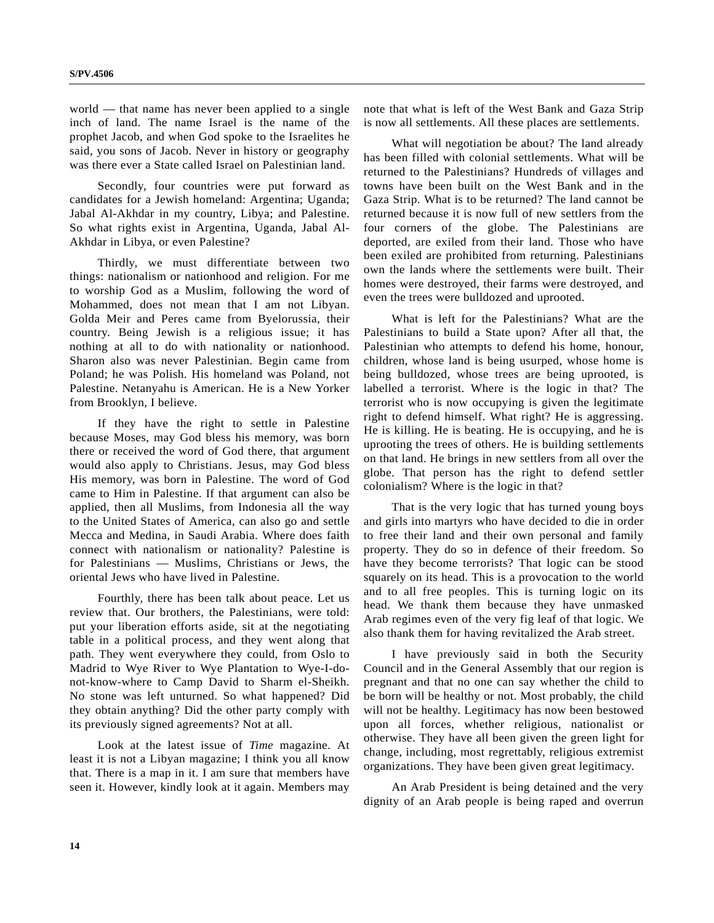world — that name has never been applied to a single inch of land. The name Israel is the name of the prophet Jacob, and when God spoke to the Israelites he said, you sons of Jacob. Never in history or geography was there ever a State called Israel on Palestinian land.

Secondly, four countries were put forward as candidates for a Jewish homeland: Argentina; Uganda; Jabal Al-Akhdar in my country, Libya; and Palestine. So what rights exist in Argentina, Uganda, Jabal Al-Akhdar in Libya, or even Palestine?

Thirdly, we must differentiate between two things: nationalism or nationhood and religion. For me to worship God as a Muslim, following the word of Mohammed, does not mean that I am not Libyan. Golda Meir and Peres came from Byelorussia, their country. Being Jewish is a religious issue; it has nothing at all to do with nationality or nationhood. Sharon also was never Palestinian. Begin came from Poland; he was Polish. His homeland was Poland, not Palestine. Netanyahu is American. He is a New Yorker from Brooklyn, I believe.

If they have the right to settle in Palestine because Moses, may God bless his memory, was born there or received the word of God there, that argument would also apply to Christians. Jesus, may God bless His memory, was born in Palestine. The word of God came to Him in Palestine. If that argument can also be applied, then all Muslims, from Indonesia all the way to the United States of America, can also go and settle Mecca and Medina, in Saudi Arabia. Where does faith connect with nationalism or nationality? Palestine is for Palestinians — Muslims, Christians or Jews, the oriental Jews who have lived in Palestine.

Fourthly, there has been talk about peace. Let us review that. Our brothers, the Palestinians, were told: put your liberation efforts aside, sit at the negotiating table in a political process, and they went along that path. They went everywhere they could, from Oslo to Madrid to Wye River to Wye Plantation to Wye-I-donot-know-where to Camp David to Sharm el-Sheikh. No stone was left unturned. So what happened? Did they obtain anything? Did the other party comply with its previously signed agreements? Not at all.

Look at the latest issue of *Time* magazine. At least it is not a Libyan magazine; I think you all know that. There is a map in it. I am sure that members have seen it. However, kindly look at it again. Members may

note that what is left of the West Bank and Gaza Strip is now all settlements. All these places are settlements.

What will negotiation be about? The land already has been filled with colonial settlements. What will be returned to the Palestinians? Hundreds of villages and towns have been built on the West Bank and in the Gaza Strip. What is to be returned? The land cannot be returned because it is now full of new settlers from the four corners of the globe. The Palestinians are deported, are exiled from their land. Those who have been exiled are prohibited from returning. Palestinians own the lands where the settlements were built. Their homes were destroyed, their farms were destroyed, and even the trees were bulldozed and uprooted.

What is left for the Palestinians? What are the Palestinians to build a State upon? After all that, the Palestinian who attempts to defend his home, honour, children, whose land is being usurped, whose home is being bulldozed, whose trees are being uprooted, is labelled a terrorist. Where is the logic in that? The terrorist who is now occupying is given the legitimate right to defend himself. What right? He is aggressing. He is killing. He is beating. He is occupying, and he is uprooting the trees of others. He is building settlements on that land. He brings in new settlers from all over the globe. That person has the right to defend settler colonialism? Where is the logic in that?

That is the very logic that has turned young boys and girls into martyrs who have decided to die in order to free their land and their own personal and family property. They do so in defence of their freedom. So have they become terrorists? That logic can be stood squarely on its head. This is a provocation to the world and to all free peoples. This is turning logic on its head. We thank them because they have unmasked Arab regimes even of the very fig leaf of that logic. We also thank them for having revitalized the Arab street.

I have previously said in both the Security Council and in the General Assembly that our region is pregnant and that no one can say whether the child to be born will be healthy or not. Most probably, the child will not be healthy. Legitimacy has now been bestowed upon all forces, whether religious, nationalist or otherwise. They have all been given the green light for change, including, most regrettably, religious extremist organizations. They have been given great legitimacy.

An Arab President is being detained and the very dignity of an Arab people is being raped and overrun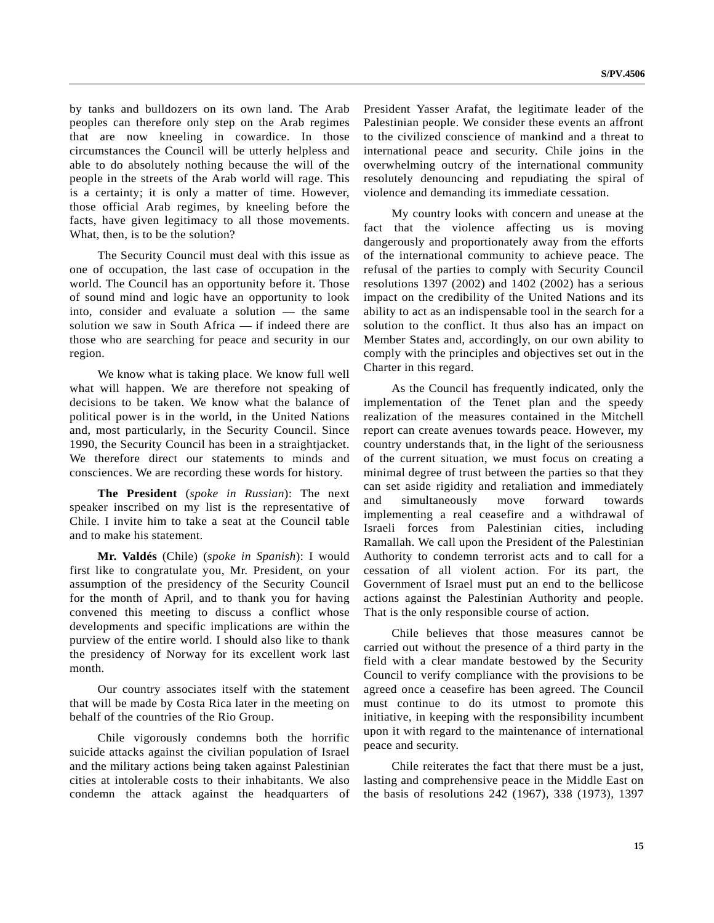by tanks and bulldozers on its own land. The Arab peoples can therefore only step on the Arab regimes that are now kneeling in cowardice. In those circumstances the Council will be utterly helpless and able to do absolutely nothing because the will of the people in the streets of the Arab world will rage. This is a certainty; it is only a matter of time. However, those official Arab regimes, by kneeling before the facts, have given legitimacy to all those movements. What, then, is to be the solution?

The Security Council must deal with this issue as one of occupation, the last case of occupation in the world. The Council has an opportunity before it. Those of sound mind and logic have an opportunity to look into, consider and evaluate a solution — the same solution we saw in South Africa — if indeed there are those who are searching for peace and security in our region.

We know what is taking place. We know full well what will happen. We are therefore not speaking of decisions to be taken. We know what the balance of political power is in the world, in the United Nations and, most particularly, in the Security Council. Since 1990, the Security Council has been in a straightjacket. We therefore direct our statements to minds and consciences. We are recording these words for history.

**The President** (*spoke in Russian*): The next speaker inscribed on my list is the representative of Chile. I invite him to take a seat at the Council table and to make his statement.

**Mr. Valdés** (Chile) (*spoke in Spanish*): I would first like to congratulate you, Mr. President, on your assumption of the presidency of the Security Council for the month of April, and to thank you for having convened this meeting to discuss a conflict whose developments and specific implications are within the purview of the entire world. I should also like to thank the presidency of Norway for its excellent work last month.

Our country associates itself with the statement that will be made by Costa Rica later in the meeting on behalf of the countries of the Rio Group.

Chile vigorously condemns both the horrific suicide attacks against the civilian population of Israel and the military actions being taken against Palestinian cities at intolerable costs to their inhabitants. We also condemn the attack against the headquarters of President Yasser Arafat, the legitimate leader of the Palestinian people. We consider these events an affront to the civilized conscience of mankind and a threat to international peace and security. Chile joins in the overwhelming outcry of the international community resolutely denouncing and repudiating the spiral of violence and demanding its immediate cessation.

My country looks with concern and unease at the fact that the violence affecting us is moving dangerously and proportionately away from the efforts of the international community to achieve peace. The refusal of the parties to comply with Security Council resolutions 1397 (2002) and 1402 (2002) has a serious impact on the credibility of the United Nations and its ability to act as an indispensable tool in the search for a solution to the conflict. It thus also has an impact on Member States and, accordingly, on our own ability to comply with the principles and objectives set out in the Charter in this regard.

As the Council has frequently indicated, only the implementation of the Tenet plan and the speedy realization of the measures contained in the Mitchell report can create avenues towards peace. However, my country understands that, in the light of the seriousness of the current situation, we must focus on creating a minimal degree of trust between the parties so that they can set aside rigidity and retaliation and immediately and simultaneously move forward towards implementing a real ceasefire and a withdrawal of Israeli forces from Palestinian cities, including Ramallah. We call upon the President of the Palestinian Authority to condemn terrorist acts and to call for a cessation of all violent action. For its part, the Government of Israel must put an end to the bellicose actions against the Palestinian Authority and people. That is the only responsible course of action.

Chile believes that those measures cannot be carried out without the presence of a third party in the field with a clear mandate bestowed by the Security Council to verify compliance with the provisions to be agreed once a ceasefire has been agreed. The Council must continue to do its utmost to promote this initiative, in keeping with the responsibility incumbent upon it with regard to the maintenance of international peace and security.

Chile reiterates the fact that there must be a just, lasting and comprehensive peace in the Middle East on the basis of resolutions 242 (1967), 338 (1973), 1397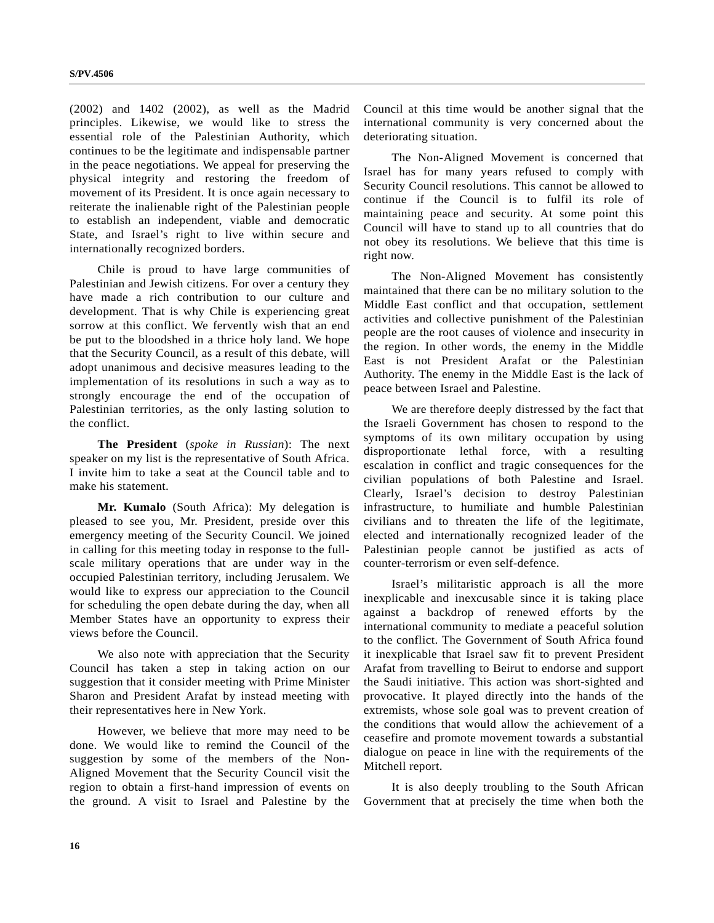(2002) and 1402 (2002), as well as the Madrid principles. Likewise, we would like to stress the essential role of the Palestinian Authority, which continues to be the legitimate and indispensable partner in the peace negotiations. We appeal for preserving the physical integrity and restoring the freedom of movement of its President. It is once again necessary to reiterate the inalienable right of the Palestinian people to establish an independent, viable and democratic State, and Israel's right to live within secure and internationally recognized borders.

Chile is proud to have large communities of Palestinian and Jewish citizens. For over a century they have made a rich contribution to our culture and development. That is why Chile is experiencing great sorrow at this conflict. We fervently wish that an end be put to the bloodshed in a thrice holy land. We hope that the Security Council, as a result of this debate, will adopt unanimous and decisive measures leading to the implementation of its resolutions in such a way as to strongly encourage the end of the occupation of Palestinian territories, as the only lasting solution to the conflict.

**The President** (*spoke in Russian*): The next speaker on my list is the representative of South Africa. I invite him to take a seat at the Council table and to make his statement.

**Mr. Kumalo** (South Africa): My delegation is pleased to see you, Mr. President, preside over this emergency meeting of the Security Council. We joined in calling for this meeting today in response to the fullscale military operations that are under way in the occupied Palestinian territory, including Jerusalem. We would like to express our appreciation to the Council for scheduling the open debate during the day, when all Member States have an opportunity to express their views before the Council.

We also note with appreciation that the Security Council has taken a step in taking action on our suggestion that it consider meeting with Prime Minister Sharon and President Arafat by instead meeting with their representatives here in New York.

However, we believe that more may need to be done. We would like to remind the Council of the suggestion by some of the members of the Non-Aligned Movement that the Security Council visit the region to obtain a first-hand impression of events on the ground. A visit to Israel and Palestine by the Council at this time would be another signal that the international community is very concerned about the deteriorating situation.

The Non-Aligned Movement is concerned that Israel has for many years refused to comply with Security Council resolutions. This cannot be allowed to continue if the Council is to fulfil its role of maintaining peace and security. At some point this Council will have to stand up to all countries that do not obey its resolutions. We believe that this time is right now.

The Non-Aligned Movement has consistently maintained that there can be no military solution to the Middle East conflict and that occupation, settlement activities and collective punishment of the Palestinian people are the root causes of violence and insecurity in the region. In other words, the enemy in the Middle East is not President Arafat or the Palestinian Authority. The enemy in the Middle East is the lack of peace between Israel and Palestine.

We are therefore deeply distressed by the fact that the Israeli Government has chosen to respond to the symptoms of its own military occupation by using disproportionate lethal force, with a resulting escalation in conflict and tragic consequences for the civilian populations of both Palestine and Israel. Clearly, Israel's decision to destroy Palestinian infrastructure, to humiliate and humble Palestinian civilians and to threaten the life of the legitimate, elected and internationally recognized leader of the Palestinian people cannot be justified as acts of counter-terrorism or even self-defence.

Israel's militaristic approach is all the more inexplicable and inexcusable since it is taking place against a backdrop of renewed efforts by the international community to mediate a peaceful solution to the conflict. The Government of South Africa found it inexplicable that Israel saw fit to prevent President Arafat from travelling to Beirut to endorse and support the Saudi initiative. This action was short-sighted and provocative. It played directly into the hands of the extremists, whose sole goal was to prevent creation of the conditions that would allow the achievement of a ceasefire and promote movement towards a substantial dialogue on peace in line with the requirements of the Mitchell report.

It is also deeply troubling to the South African Government that at precisely the time when both the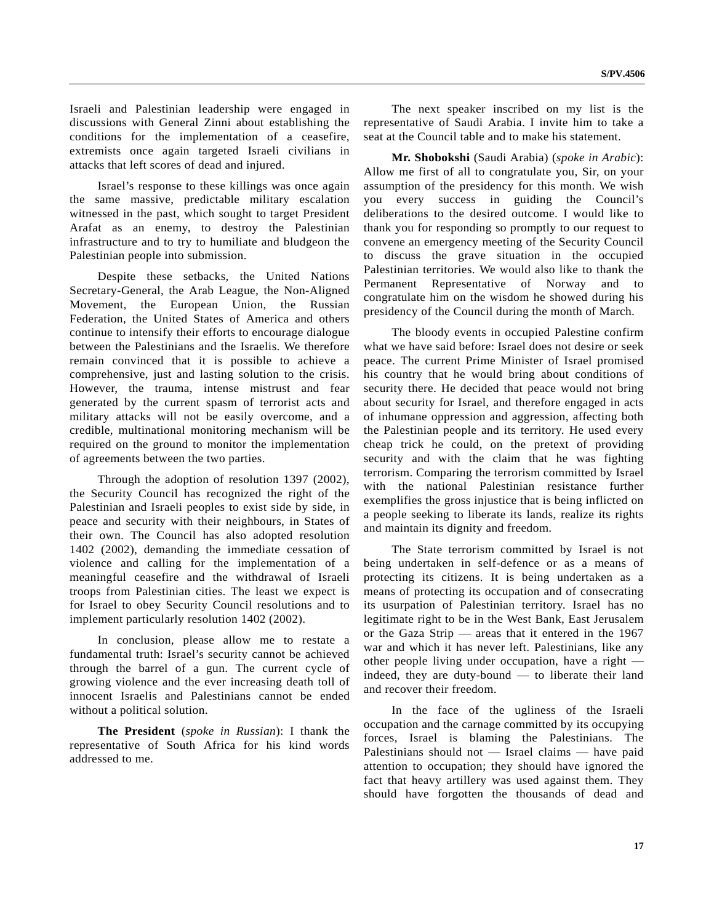Israeli and Palestinian leadership were engaged in discussions with General Zinni about establishing the conditions for the implementation of a ceasefire, extremists once again targeted Israeli civilians in attacks that left scores of dead and injured.

Israel's response to these killings was once again the same massive, predictable military escalation witnessed in the past, which sought to target President Arafat as an enemy, to destroy the Palestinian infrastructure and to try to humiliate and bludgeon the Palestinian people into submission.

Despite these setbacks, the United Nations Secretary-General, the Arab League, the Non-Aligned Movement, the European Union, the Russian Federation, the United States of America and others continue to intensify their efforts to encourage dialogue between the Palestinians and the Israelis. We therefore remain convinced that it is possible to achieve a comprehensive, just and lasting solution to the crisis. However, the trauma, intense mistrust and fear generated by the current spasm of terrorist acts and military attacks will not be easily overcome, and a credible, multinational monitoring mechanism will be required on the ground to monitor the implementation of agreements between the two parties.

Through the adoption of resolution 1397 (2002), the Security Council has recognized the right of the Palestinian and Israeli peoples to exist side by side, in peace and security with their neighbours, in States of their own. The Council has also adopted resolution 1402 (2002), demanding the immediate cessation of violence and calling for the implementation of a meaningful ceasefire and the withdrawal of Israeli troops from Palestinian cities. The least we expect is for Israel to obey Security Council resolutions and to implement particularly resolution 1402 (2002).

In conclusion, please allow me to restate a fundamental truth: Israel's security cannot be achieved through the barrel of a gun. The current cycle of growing violence and the ever increasing death toll of innocent Israelis and Palestinians cannot be ended without a political solution.

**The President** (*spoke in Russian*): I thank the representative of South Africa for his kind words addressed to me.

The next speaker inscribed on my list is the representative of Saudi Arabia. I invite him to take a seat at the Council table and to make his statement.

**Mr. Shobokshi** (Saudi Arabia) (*spoke in Arabic*): Allow me first of all to congratulate you, Sir, on your assumption of the presidency for this month. We wish you every success in guiding the Council's deliberations to the desired outcome. I would like to thank you for responding so promptly to our request to convene an emergency meeting of the Security Council to discuss the grave situation in the occupied Palestinian territories. We would also like to thank the Permanent Representative of Norway and to congratulate him on the wisdom he showed during his presidency of the Council during the month of March.

The bloody events in occupied Palestine confirm what we have said before: Israel does not desire or seek peace. The current Prime Minister of Israel promised his country that he would bring about conditions of security there. He decided that peace would not bring about security for Israel, and therefore engaged in acts of inhumane oppression and aggression, affecting both the Palestinian people and its territory. He used every cheap trick he could, on the pretext of providing security and with the claim that he was fighting terrorism. Comparing the terrorism committed by Israel with the national Palestinian resistance further exemplifies the gross injustice that is being inflicted on a people seeking to liberate its lands, realize its rights and maintain its dignity and freedom.

The State terrorism committed by Israel is not being undertaken in self-defence or as a means of protecting its citizens. It is being undertaken as a means of protecting its occupation and of consecrating its usurpation of Palestinian territory. Israel has no legitimate right to be in the West Bank, East Jerusalem or the Gaza Strip — areas that it entered in the 1967 war and which it has never left. Palestinians, like any other people living under occupation, have a right indeed, they are duty-bound — to liberate their land and recover their freedom.

In the face of the ugliness of the Israeli occupation and the carnage committed by its occupying forces, Israel is blaming the Palestinians. The Palestinians should not — Israel claims — have paid attention to occupation; they should have ignored the fact that heavy artillery was used against them. They should have forgotten the thousands of dead and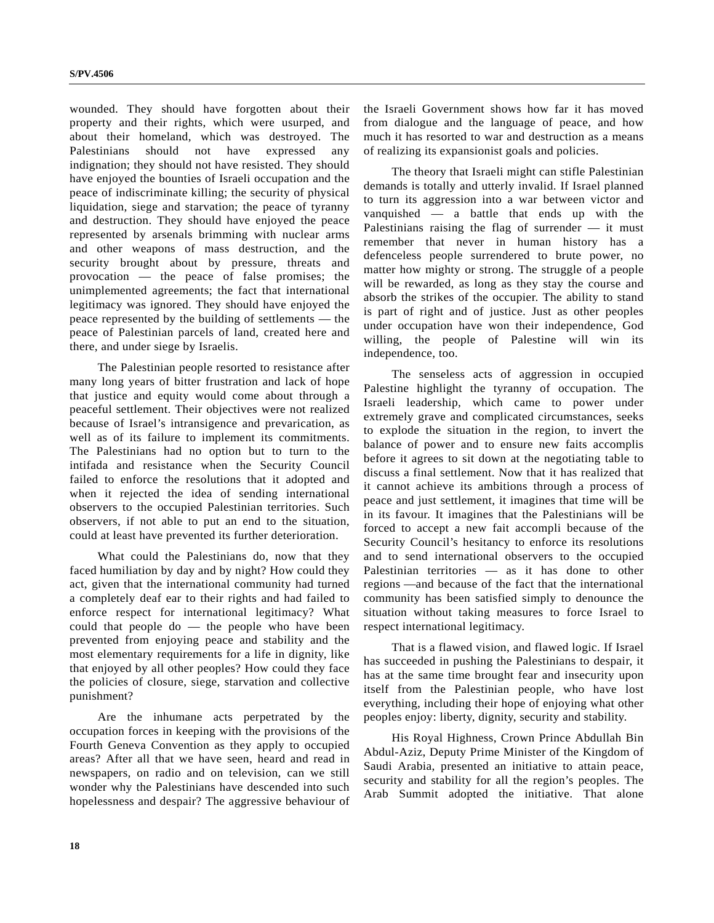wounded. They should have forgotten about their property and their rights, which were usurped, and about their homeland, which was destroyed. The Palestinians should not have expressed any indignation; they should not have resisted. They should have enjoyed the bounties of Israeli occupation and the peace of indiscriminate killing; the security of physical liquidation, siege and starvation; the peace of tyranny and destruction. They should have enjoyed the peace represented by arsenals brimming with nuclear arms and other weapons of mass destruction, and the security brought about by pressure, threats and provocation — the peace of false promises; the unimplemented agreements; the fact that international legitimacy was ignored. They should have enjoyed the peace represented by the building of settlements — the peace of Palestinian parcels of land, created here and there, and under siege by Israelis.

The Palestinian people resorted to resistance after many long years of bitter frustration and lack of hope that justice and equity would come about through a peaceful settlement. Their objectives were not realized because of Israel's intransigence and prevarication, as well as of its failure to implement its commitments. The Palestinians had no option but to turn to the intifada and resistance when the Security Council failed to enforce the resolutions that it adopted and when it rejected the idea of sending international observers to the occupied Palestinian territories. Such observers, if not able to put an end to the situation, could at least have prevented its further deterioration.

What could the Palestinians do, now that they faced humiliation by day and by night? How could they act, given that the international community had turned a completely deaf ear to their rights and had failed to enforce respect for international legitimacy? What could that people do — the people who have been prevented from enjoying peace and stability and the most elementary requirements for a life in dignity, like that enjoyed by all other peoples? How could they face the policies of closure, siege, starvation and collective punishment?

Are the inhumane acts perpetrated by the occupation forces in keeping with the provisions of the Fourth Geneva Convention as they apply to occupied areas? After all that we have seen, heard and read in newspapers, on radio and on television, can we still wonder why the Palestinians have descended into such hopelessness and despair? The aggressive behaviour of

the Israeli Government shows how far it has moved from dialogue and the language of peace, and how much it has resorted to war and destruction as a means of realizing its expansionist goals and policies.

The theory that Israeli might can stifle Palestinian demands is totally and utterly invalid. If Israel planned to turn its aggression into a war between victor and vanquished — a battle that ends up with the Palestinians raising the flag of surrender — it must remember that never in human history has a defenceless people surrendered to brute power, no matter how mighty or strong. The struggle of a people will be rewarded, as long as they stay the course and absorb the strikes of the occupier. The ability to stand is part of right and of justice. Just as other peoples under occupation have won their independence, God willing, the people of Palestine will win its independence, too.

The senseless acts of aggression in occupied Palestine highlight the tyranny of occupation. The Israeli leadership, which came to power under extremely grave and complicated circumstances, seeks to explode the situation in the region, to invert the balance of power and to ensure new faits accomplis before it agrees to sit down at the negotiating table to discuss a final settlement. Now that it has realized that it cannot achieve its ambitions through a process of peace and just settlement, it imagines that time will be in its favour. It imagines that the Palestinians will be forced to accept a new fait accompli because of the Security Council's hesitancy to enforce its resolutions and to send international observers to the occupied Palestinian territories — as it has done to other regions —and because of the fact that the international community has been satisfied simply to denounce the situation without taking measures to force Israel to respect international legitimacy.

That is a flawed vision, and flawed logic. If Israel has succeeded in pushing the Palestinians to despair, it has at the same time brought fear and insecurity upon itself from the Palestinian people, who have lost everything, including their hope of enjoying what other peoples enjoy: liberty, dignity, security and stability.

His Royal Highness, Crown Prince Abdullah Bin Abdul-Aziz, Deputy Prime Minister of the Kingdom of Saudi Arabia, presented an initiative to attain peace, security and stability for all the region's peoples. The Arab Summit adopted the initiative. That alone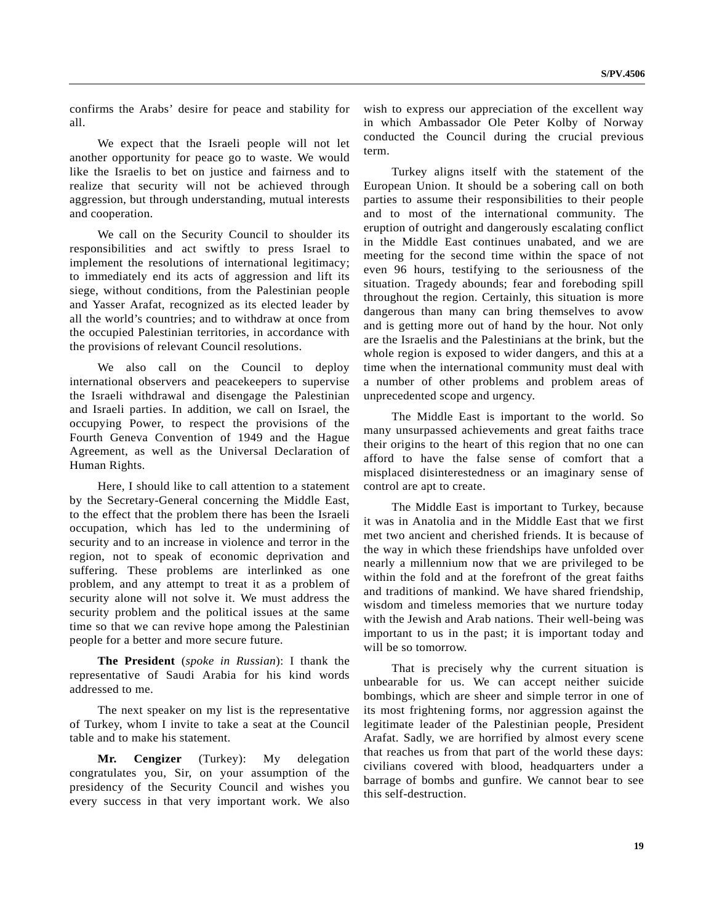confirms the Arabs' desire for peace and stability for all.

We expect that the Israeli people will not let another opportunity for peace go to waste. We would like the Israelis to bet on justice and fairness and to realize that security will not be achieved through aggression, but through understanding, mutual interests and cooperation.

We call on the Security Council to shoulder its responsibilities and act swiftly to press Israel to implement the resolutions of international legitimacy; to immediately end its acts of aggression and lift its siege, without conditions, from the Palestinian people and Yasser Arafat, recognized as its elected leader by all the world's countries; and to withdraw at once from the occupied Palestinian territories, in accordance with the provisions of relevant Council resolutions.

We also call on the Council to deploy international observers and peacekeepers to supervise the Israeli withdrawal and disengage the Palestinian and Israeli parties. In addition, we call on Israel, the occupying Power, to respect the provisions of the Fourth Geneva Convention of 1949 and the Hague Agreement, as well as the Universal Declaration of Human Rights.

Here, I should like to call attention to a statement by the Secretary-General concerning the Middle East, to the effect that the problem there has been the Israeli occupation, which has led to the undermining of security and to an increase in violence and terror in the region, not to speak of economic deprivation and suffering. These problems are interlinked as one problem, and any attempt to treat it as a problem of security alone will not solve it. We must address the security problem and the political issues at the same time so that we can revive hope among the Palestinian people for a better and more secure future.

**The President** (*spoke in Russian*): I thank the representative of Saudi Arabia for his kind words addressed to me.

The next speaker on my list is the representative of Turkey, whom I invite to take a seat at the Council table and to make his statement.

**Mr. Cengizer** (Turkey): My delegation congratulates you, Sir, on your assumption of the presidency of the Security Council and wishes you every success in that very important work. We also wish to express our appreciation of the excellent way in which Ambassador Ole Peter Kolby of Norway conducted the Council during the crucial previous term.

Turkey aligns itself with the statement of the European Union. It should be a sobering call on both parties to assume their responsibilities to their people and to most of the international community. The eruption of outright and dangerously escalating conflict in the Middle East continues unabated, and we are meeting for the second time within the space of not even 96 hours, testifying to the seriousness of the situation. Tragedy abounds; fear and foreboding spill throughout the region. Certainly, this situation is more dangerous than many can bring themselves to avow and is getting more out of hand by the hour. Not only are the Israelis and the Palestinians at the brink, but the whole region is exposed to wider dangers, and this at a time when the international community must deal with a number of other problems and problem areas of unprecedented scope and urgency.

The Middle East is important to the world. So many unsurpassed achievements and great faiths trace their origins to the heart of this region that no one can afford to have the false sense of comfort that a misplaced disinterestedness or an imaginary sense of control are apt to create.

The Middle East is important to Turkey, because it was in Anatolia and in the Middle East that we first met two ancient and cherished friends. It is because of the way in which these friendships have unfolded over nearly a millennium now that we are privileged to be within the fold and at the forefront of the great faiths and traditions of mankind. We have shared friendship, wisdom and timeless memories that we nurture today with the Jewish and Arab nations. Their well-being was important to us in the past; it is important today and will be so tomorrow.

That is precisely why the current situation is unbearable for us. We can accept neither suicide bombings, which are sheer and simple terror in one of its most frightening forms, nor aggression against the legitimate leader of the Palestinian people, President Arafat. Sadly, we are horrified by almost every scene that reaches us from that part of the world these days: civilians covered with blood, headquarters under a barrage of bombs and gunfire. We cannot bear to see this self-destruction.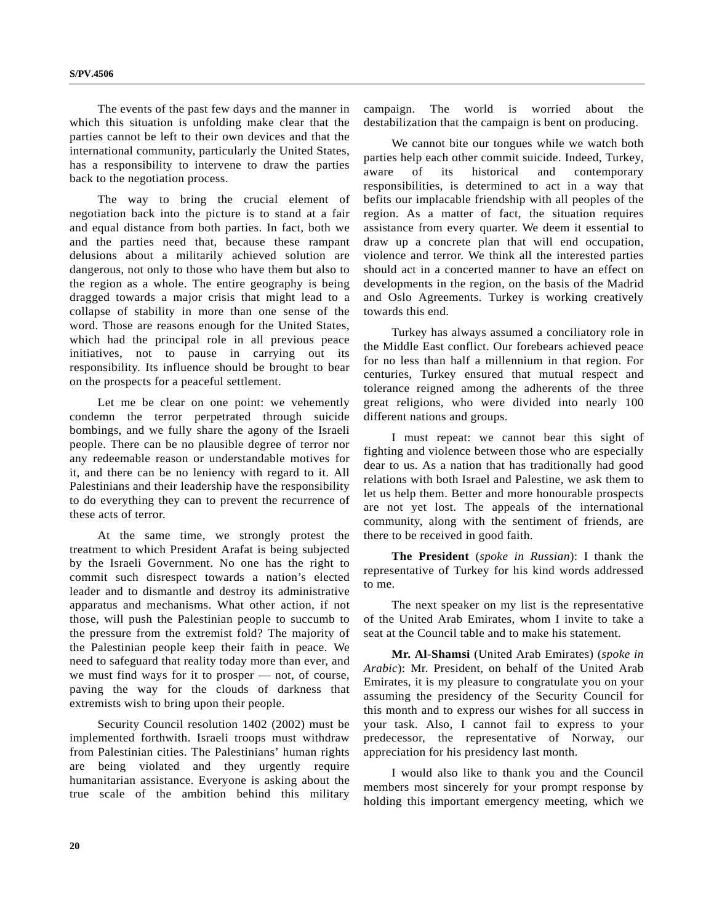The events of the past few days and the manner in which this situation is unfolding make clear that the parties cannot be left to their own devices and that the international community, particularly the United States, has a responsibility to intervene to draw the parties back to the negotiation process.

The way to bring the crucial element of negotiation back into the picture is to stand at a fair and equal distance from both parties. In fact, both we and the parties need that, because these rampant delusions about a militarily achieved solution are dangerous, not only to those who have them but also to the region as a whole. The entire geography is being dragged towards a major crisis that might lead to a collapse of stability in more than one sense of the word. Those are reasons enough for the United States, which had the principal role in all previous peace initiatives, not to pause in carrying out its responsibility. Its influence should be brought to bear on the prospects for a peaceful settlement.

Let me be clear on one point: we vehemently condemn the terror perpetrated through suicide bombings, and we fully share the agony of the Israeli people. There can be no plausible degree of terror nor any redeemable reason or understandable motives for it, and there can be no leniency with regard to it. All Palestinians and their leadership have the responsibility to do everything they can to prevent the recurrence of these acts of terror.

At the same time, we strongly protest the treatment to which President Arafat is being subjected by the Israeli Government. No one has the right to commit such disrespect towards a nation's elected leader and to dismantle and destroy its administrative apparatus and mechanisms. What other action, if not those, will push the Palestinian people to succumb to the pressure from the extremist fold? The majority of the Palestinian people keep their faith in peace. We need to safeguard that reality today more than ever, and we must find ways for it to prosper — not, of course, paving the way for the clouds of darkness that extremists wish to bring upon their people.

Security Council resolution 1402 (2002) must be implemented forthwith. Israeli troops must withdraw from Palestinian cities. The Palestinians' human rights are being violated and they urgently require humanitarian assistance. Everyone is asking about the true scale of the ambition behind this military

campaign. The world is worried about the destabilization that the campaign is bent on producing.

We cannot bite our tongues while we watch both parties help each other commit suicide. Indeed, Turkey, aware of its historical and contemporary responsibilities, is determined to act in a way that befits our implacable friendship with all peoples of the region. As a matter of fact, the situation requires assistance from every quarter. We deem it essential to draw up a concrete plan that will end occupation, violence and terror. We think all the interested parties should act in a concerted manner to have an effect on developments in the region, on the basis of the Madrid and Oslo Agreements. Turkey is working creatively towards this end.

Turkey has always assumed a conciliatory role in the Middle East conflict. Our forebears achieved peace for no less than half a millennium in that region. For centuries, Turkey ensured that mutual respect and tolerance reigned among the adherents of the three great religions, who were divided into nearly 100 different nations and groups.

I must repeat: we cannot bear this sight of fighting and violence between those who are especially dear to us. As a nation that has traditionally had good relations with both Israel and Palestine, we ask them to let us help them. Better and more honourable prospects are not yet lost. The appeals of the international community, along with the sentiment of friends, are there to be received in good faith.

**The President** (*spoke in Russian*): I thank the representative of Turkey for his kind words addressed to me.

The next speaker on my list is the representative of the United Arab Emirates, whom I invite to take a seat at the Council table and to make his statement.

**Mr. Al-Shamsi** (United Arab Emirates) (*spoke in Arabic*): Mr. President, on behalf of the United Arab Emirates, it is my pleasure to congratulate you on your assuming the presidency of the Security Council for this month and to express our wishes for all success in your task. Also, I cannot fail to express to your predecessor, the representative of Norway, our appreciation for his presidency last month.

I would also like to thank you and the Council members most sincerely for your prompt response by holding this important emergency meeting, which we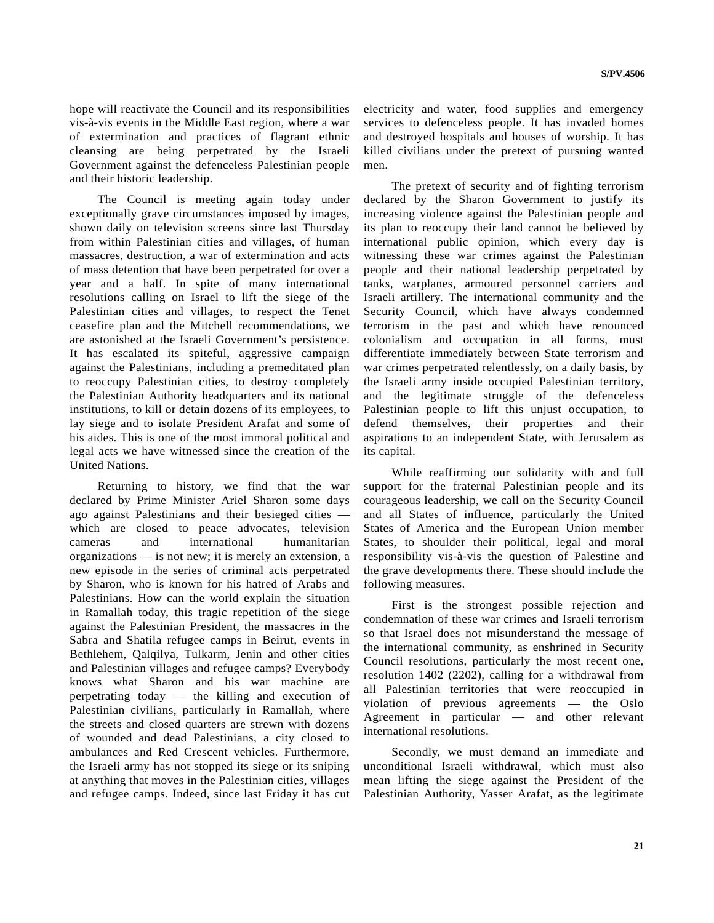hope will reactivate the Council and its responsibilities vis-à-vis events in the Middle East region, where a war of extermination and practices of flagrant ethnic cleansing are being perpetrated by the Israeli Government against the defenceless Palestinian people and their historic leadership.

The Council is meeting again today under exceptionally grave circumstances imposed by images, shown daily on television screens since last Thursday from within Palestinian cities and villages, of human massacres, destruction, a war of extermination and acts of mass detention that have been perpetrated for over a year and a half. In spite of many international resolutions calling on Israel to lift the siege of the Palestinian cities and villages, to respect the Tenet ceasefire plan and the Mitchell recommendations, we are astonished at the Israeli Government's persistence. It has escalated its spiteful, aggressive campaign against the Palestinians, including a premeditated plan to reoccupy Palestinian cities, to destroy completely the Palestinian Authority headquarters and its national institutions, to kill or detain dozens of its employees, to lay siege and to isolate President Arafat and some of his aides. This is one of the most immoral political and legal acts we have witnessed since the creation of the United Nations.

Returning to history, we find that the war declared by Prime Minister Ariel Sharon some days ago against Palestinians and their besieged cities which are closed to peace advocates, television cameras and international humanitarian organizations — is not new; it is merely an extension, a new episode in the series of criminal acts perpetrated by Sharon, who is known for his hatred of Arabs and Palestinians. How can the world explain the situation in Ramallah today, this tragic repetition of the siege against the Palestinian President, the massacres in the Sabra and Shatila refugee camps in Beirut, events in Bethlehem, Qalqilya, Tulkarm, Jenin and other cities and Palestinian villages and refugee camps? Everybody knows what Sharon and his war machine are perpetrating today — the killing and execution of Palestinian civilians, particularly in Ramallah, where the streets and closed quarters are strewn with dozens of wounded and dead Palestinians, a city closed to ambulances and Red Crescent vehicles. Furthermore, the Israeli army has not stopped its siege or its sniping at anything that moves in the Palestinian cities, villages and refugee camps. Indeed, since last Friday it has cut

electricity and water, food supplies and emergency services to defenceless people. It has invaded homes and destroyed hospitals and houses of worship. It has killed civilians under the pretext of pursuing wanted men.

The pretext of security and of fighting terrorism declared by the Sharon Government to justify its increasing violence against the Palestinian people and its plan to reoccupy their land cannot be believed by international public opinion, which every day is witnessing these war crimes against the Palestinian people and their national leadership perpetrated by tanks, warplanes, armoured personnel carriers and Israeli artillery. The international community and the Security Council, which have always condemned terrorism in the past and which have renounced colonialism and occupation in all forms, must differentiate immediately between State terrorism and war crimes perpetrated relentlessly, on a daily basis, by the Israeli army inside occupied Palestinian territory, and the legitimate struggle of the defenceless Palestinian people to lift this unjust occupation, to defend themselves, their properties and their aspirations to an independent State, with Jerusalem as its capital.

While reaffirming our solidarity with and full support for the fraternal Palestinian people and its courageous leadership, we call on the Security Council and all States of influence, particularly the United States of America and the European Union member States, to shoulder their political, legal and moral responsibility vis-à-vis the question of Palestine and the grave developments there. These should include the following measures.

First is the strongest possible rejection and condemnation of these war crimes and Israeli terrorism so that Israel does not misunderstand the message of the international community, as enshrined in Security Council resolutions, particularly the most recent one, resolution 1402 (2202), calling for a withdrawal from all Palestinian territories that were reoccupied in violation of previous agreements — the Oslo Agreement in particular — and other relevant international resolutions.

Secondly, we must demand an immediate and unconditional Israeli withdrawal, which must also mean lifting the siege against the President of the Palestinian Authority, Yasser Arafat, as the legitimate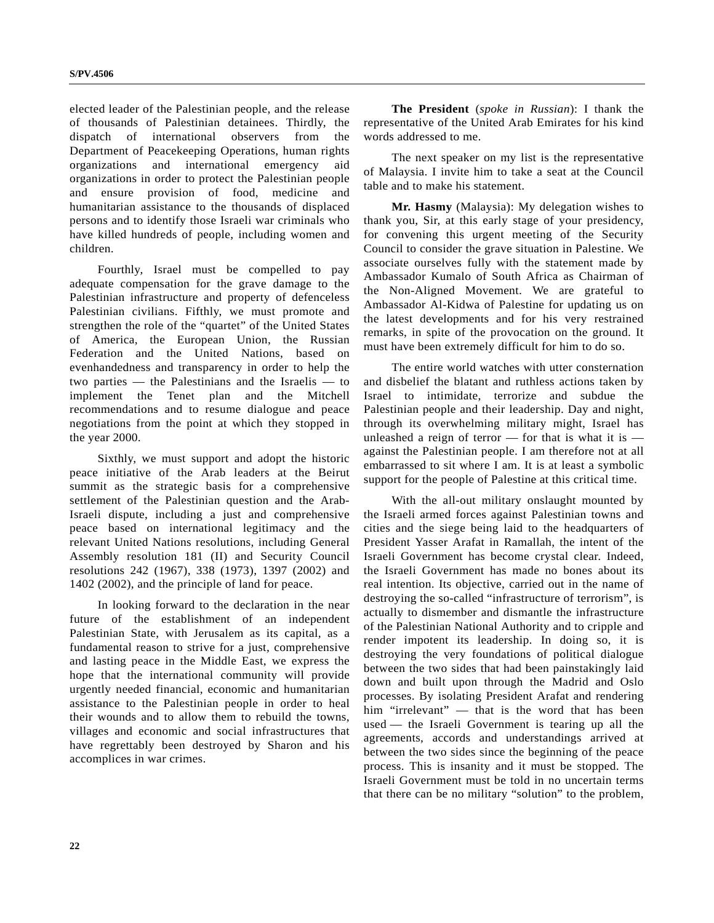elected leader of the Palestinian people, and the release of thousands of Palestinian detainees. Thirdly, the dispatch of international observers from the Department of Peacekeeping Operations, human rights organizations and international emergency aid organizations in order to protect the Palestinian people and ensure provision of food, medicine and humanitarian assistance to the thousands of displaced persons and to identify those Israeli war criminals who have killed hundreds of people, including women and children.

Fourthly, Israel must be compelled to pay adequate compensation for the grave damage to the Palestinian infrastructure and property of defenceless Palestinian civilians. Fifthly, we must promote and strengthen the role of the "quartet" of the United States of America, the European Union, the Russian Federation and the United Nations, based on evenhandedness and transparency in order to help the two parties — the Palestinians and the Israelis — to implement the Tenet plan and the Mitchell recommendations and to resume dialogue and peace negotiations from the point at which they stopped in the year 2000.

Sixthly, we must support and adopt the historic peace initiative of the Arab leaders at the Beirut summit as the strategic basis for a comprehensive settlement of the Palestinian question and the Arab-Israeli dispute, including a just and comprehensive peace based on international legitimacy and the relevant United Nations resolutions, including General Assembly resolution 181 (II) and Security Council resolutions 242 (1967), 338 (1973), 1397 (2002) and 1402 (2002), and the principle of land for peace.

In looking forward to the declaration in the near future of the establishment of an independent Palestinian State, with Jerusalem as its capital, as a fundamental reason to strive for a just, comprehensive and lasting peace in the Middle East, we express the hope that the international community will provide urgently needed financial, economic and humanitarian assistance to the Palestinian people in order to heal their wounds and to allow them to rebuild the towns, villages and economic and social infrastructures that have regrettably been destroyed by Sharon and his accomplices in war crimes.

**The President** (*spoke in Russian*): I thank the representative of the United Arab Emirates for his kind words addressed to me.

The next speaker on my list is the representative of Malaysia. I invite him to take a seat at the Council table and to make his statement.

**Mr. Hasmy** (Malaysia): My delegation wishes to thank you, Sir, at this early stage of your presidency, for convening this urgent meeting of the Security Council to consider the grave situation in Palestine. We associate ourselves fully with the statement made by Ambassador Kumalo of South Africa as Chairman of the Non-Aligned Movement. We are grateful to Ambassador Al-Kidwa of Palestine for updating us on the latest developments and for his very restrained remarks, in spite of the provocation on the ground. It must have been extremely difficult for him to do so.

The entire world watches with utter consternation and disbelief the blatant and ruthless actions taken by Israel to intimidate, terrorize and subdue the Palestinian people and their leadership. Day and night, through its overwhelming military might, Israel has unleashed a reign of terror  $-$  for that is what it is  $$ against the Palestinian people. I am therefore not at all embarrassed to sit where I am. It is at least a symbolic support for the people of Palestine at this critical time.

With the all-out military onslaught mounted by the Israeli armed forces against Palestinian towns and cities and the siege being laid to the headquarters of President Yasser Arafat in Ramallah, the intent of the Israeli Government has become crystal clear. Indeed, the Israeli Government has made no bones about its real intention. Its objective, carried out in the name of destroying the so-called "infrastructure of terrorism", is actually to dismember and dismantle the infrastructure of the Palestinian National Authority and to cripple and render impotent its leadership. In doing so, it is destroying the very foundations of political dialogue between the two sides that had been painstakingly laid down and built upon through the Madrid and Oslo processes. By isolating President Arafat and rendering him "irrelevant" — that is the word that has been used — the Israeli Government is tearing up all the agreements, accords and understandings arrived at between the two sides since the beginning of the peace process. This is insanity and it must be stopped. The Israeli Government must be told in no uncertain terms that there can be no military "solution" to the problem,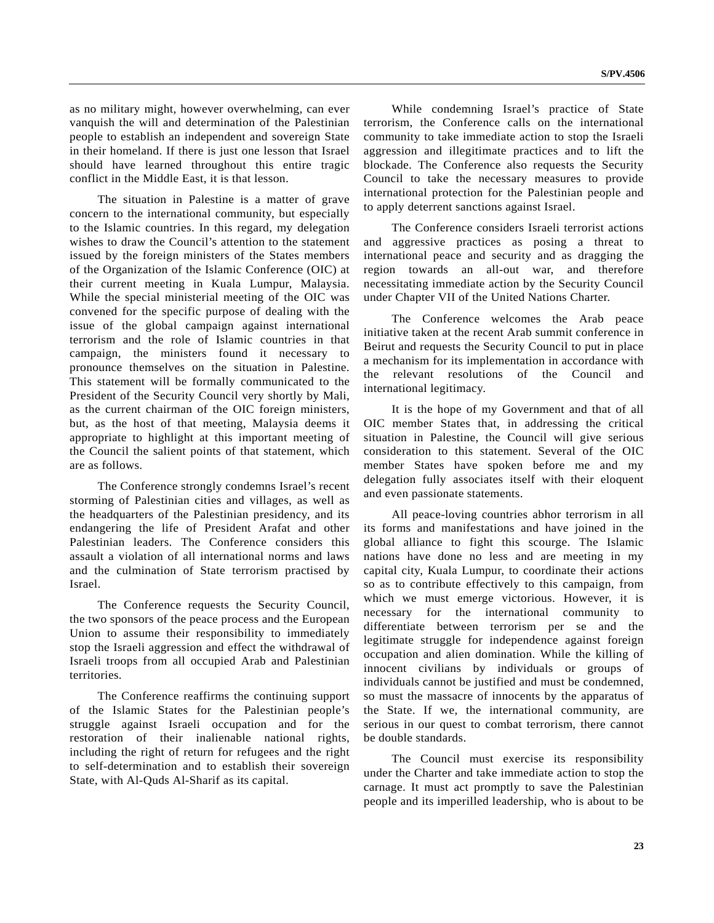as no military might, however overwhelming, can ever vanquish the will and determination of the Palestinian people to establish an independent and sovereign State in their homeland. If there is just one lesson that Israel should have learned throughout this entire tragic conflict in the Middle East, it is that lesson.

The situation in Palestine is a matter of grave concern to the international community, but especially to the Islamic countries. In this regard, my delegation wishes to draw the Council's attention to the statement issued by the foreign ministers of the States members of the Organization of the Islamic Conference (OIC) at their current meeting in Kuala Lumpur, Malaysia. While the special ministerial meeting of the OIC was convened for the specific purpose of dealing with the issue of the global campaign against international terrorism and the role of Islamic countries in that campaign, the ministers found it necessary to pronounce themselves on the situation in Palestine. This statement will be formally communicated to the President of the Security Council very shortly by Mali, as the current chairman of the OIC foreign ministers, but, as the host of that meeting, Malaysia deems it appropriate to highlight at this important meeting of the Council the salient points of that statement, which are as follows.

The Conference strongly condemns Israel's recent storming of Palestinian cities and villages, as well as the headquarters of the Palestinian presidency, and its endangering the life of President Arafat and other Palestinian leaders. The Conference considers this assault a violation of all international norms and laws and the culmination of State terrorism practised by Israel.

The Conference requests the Security Council, the two sponsors of the peace process and the European Union to assume their responsibility to immediately stop the Israeli aggression and effect the withdrawal of Israeli troops from all occupied Arab and Palestinian territories.

The Conference reaffirms the continuing support of the Islamic States for the Palestinian people's struggle against Israeli occupation and for the restoration of their inalienable national rights, including the right of return for refugees and the right to self-determination and to establish their sovereign State, with Al-Quds Al-Sharif as its capital.

While condemning Israel's practice of State terrorism, the Conference calls on the international community to take immediate action to stop the Israeli aggression and illegitimate practices and to lift the blockade. The Conference also requests the Security Council to take the necessary measures to provide international protection for the Palestinian people and to apply deterrent sanctions against Israel.

The Conference considers Israeli terrorist actions and aggressive practices as posing a threat to international peace and security and as dragging the region towards an all-out war, and therefore necessitating immediate action by the Security Council under Chapter VII of the United Nations Charter.

The Conference welcomes the Arab peace initiative taken at the recent Arab summit conference in Beirut and requests the Security Council to put in place a mechanism for its implementation in accordance with the relevant resolutions of the Council and international legitimacy.

It is the hope of my Government and that of all OIC member States that, in addressing the critical situation in Palestine, the Council will give serious consideration to this statement. Several of the OIC member States have spoken before me and my delegation fully associates itself with their eloquent and even passionate statements.

All peace-loving countries abhor terrorism in all its forms and manifestations and have joined in the global alliance to fight this scourge. The Islamic nations have done no less and are meeting in my capital city, Kuala Lumpur, to coordinate their actions so as to contribute effectively to this campaign, from which we must emerge victorious. However, it is necessary for the international community to differentiate between terrorism per se and the legitimate struggle for independence against foreign occupation and alien domination. While the killing of innocent civilians by individuals or groups of individuals cannot be justified and must be condemned, so must the massacre of innocents by the apparatus of the State. If we, the international community, are serious in our quest to combat terrorism, there cannot be double standards.

The Council must exercise its responsibility under the Charter and take immediate action to stop the carnage. It must act promptly to save the Palestinian people and its imperilled leadership, who is about to be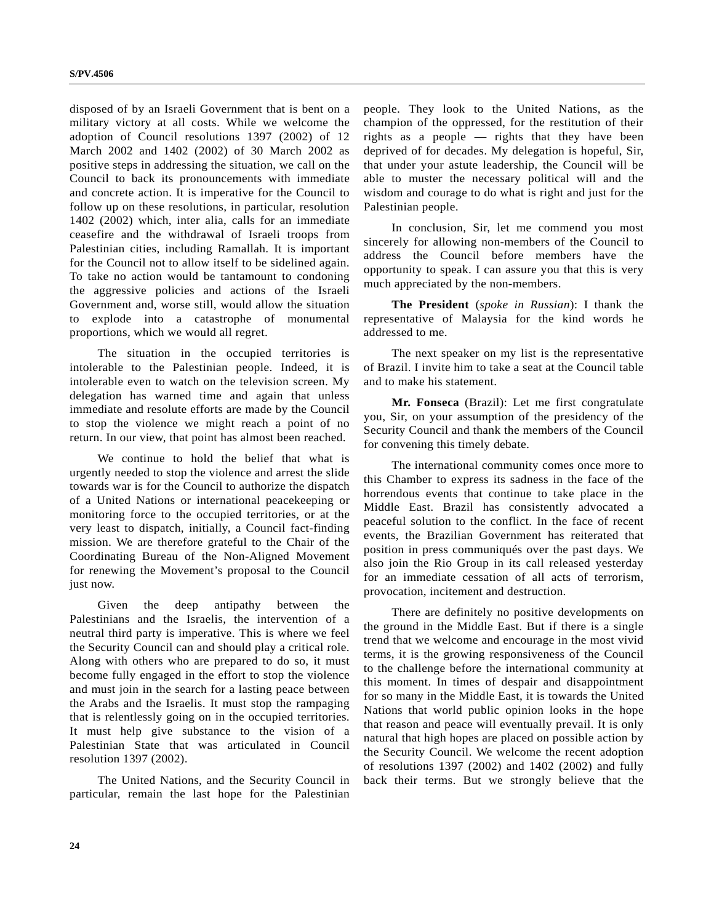disposed of by an Israeli Government that is bent on a military victory at all costs. While we welcome the adoption of Council resolutions 1397 (2002) of 12 March 2002 and 1402 (2002) of 30 March 2002 as positive steps in addressing the situation, we call on the Council to back its pronouncements with immediate and concrete action. It is imperative for the Council to follow up on these resolutions, in particular, resolution 1402 (2002) which, inter alia, calls for an immediate ceasefire and the withdrawal of Israeli troops from Palestinian cities, including Ramallah. It is important for the Council not to allow itself to be sidelined again. To take no action would be tantamount to condoning the aggressive policies and actions of the Israeli Government and, worse still, would allow the situation to explode into a catastrophe of monumental proportions, which we would all regret.

The situation in the occupied territories is intolerable to the Palestinian people. Indeed, it is intolerable even to watch on the television screen. My delegation has warned time and again that unless immediate and resolute efforts are made by the Council to stop the violence we might reach a point of no return. In our view, that point has almost been reached.

We continue to hold the belief that what is urgently needed to stop the violence and arrest the slide towards war is for the Council to authorize the dispatch of a United Nations or international peacekeeping or monitoring force to the occupied territories, or at the very least to dispatch, initially, a Council fact-finding mission. We are therefore grateful to the Chair of the Coordinating Bureau of the Non-Aligned Movement for renewing the Movement's proposal to the Council just now.

Given the deep antipathy between the Palestinians and the Israelis, the intervention of a neutral third party is imperative. This is where we feel the Security Council can and should play a critical role. Along with others who are prepared to do so, it must become fully engaged in the effort to stop the violence and must join in the search for a lasting peace between the Arabs and the Israelis. It must stop the rampaging that is relentlessly going on in the occupied territories. It must help give substance to the vision of a Palestinian State that was articulated in Council resolution 1397 (2002).

The United Nations, and the Security Council in particular, remain the last hope for the Palestinian people. They look to the United Nations, as the champion of the oppressed, for the restitution of their rights as a people — rights that they have been deprived of for decades. My delegation is hopeful, Sir, that under your astute leadership, the Council will be able to muster the necessary political will and the wisdom and courage to do what is right and just for the Palestinian people.

In conclusion, Sir, let me commend you most sincerely for allowing non-members of the Council to address the Council before members have the opportunity to speak. I can assure you that this is very much appreciated by the non-members.

**The President** (*spoke in Russian*): I thank the representative of Malaysia for the kind words he addressed to me.

The next speaker on my list is the representative of Brazil. I invite him to take a seat at the Council table and to make his statement.

**Mr. Fonseca** (Brazil): Let me first congratulate you, Sir, on your assumption of the presidency of the Security Council and thank the members of the Council for convening this timely debate.

The international community comes once more to this Chamber to express its sadness in the face of the horrendous events that continue to take place in the Middle East. Brazil has consistently advocated a peaceful solution to the conflict. In the face of recent events, the Brazilian Government has reiterated that position in press communiqués over the past days. We also join the Rio Group in its call released yesterday for an immediate cessation of all acts of terrorism, provocation, incitement and destruction.

There are definitely no positive developments on the ground in the Middle East. But if there is a single trend that we welcome and encourage in the most vivid terms, it is the growing responsiveness of the Council to the challenge before the international community at this moment. In times of despair and disappointment for so many in the Middle East, it is towards the United Nations that world public opinion looks in the hope that reason and peace will eventually prevail. It is only natural that high hopes are placed on possible action by the Security Council. We welcome the recent adoption of resolutions 1397 (2002) and 1402 (2002) and fully back their terms. But we strongly believe that the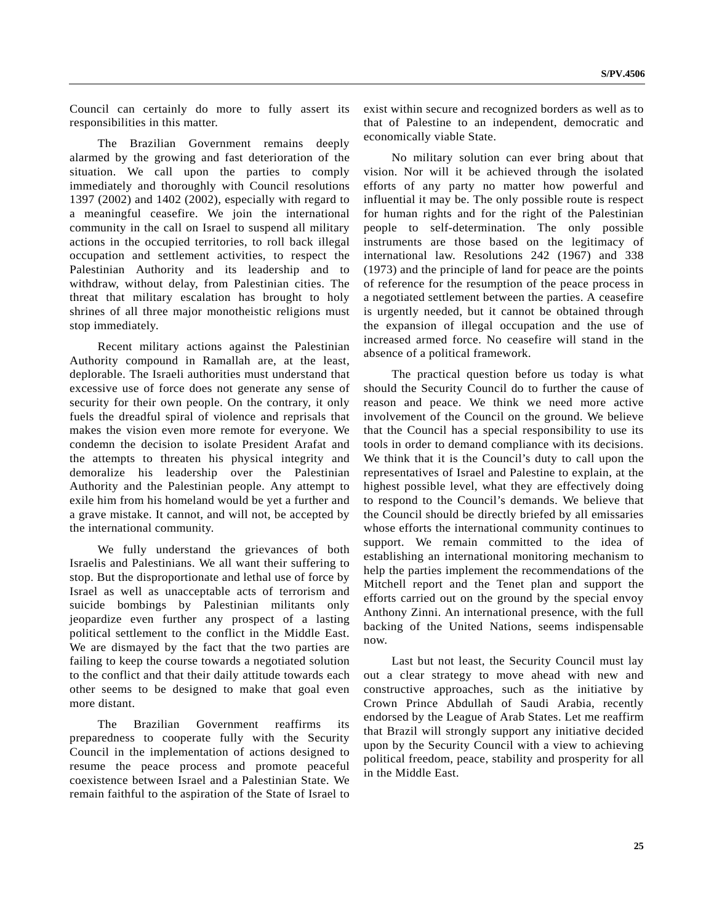Council can certainly do more to fully assert its responsibilities in this matter.

The Brazilian Government remains deeply alarmed by the growing and fast deterioration of the situation. We call upon the parties to comply immediately and thoroughly with Council resolutions 1397 (2002) and 1402 (2002), especially with regard to a meaningful ceasefire. We join the international community in the call on Israel to suspend all military actions in the occupied territories, to roll back illegal occupation and settlement activities, to respect the Palestinian Authority and its leadership and to withdraw, without delay, from Palestinian cities. The threat that military escalation has brought to holy shrines of all three major monotheistic religions must stop immediately.

Recent military actions against the Palestinian Authority compound in Ramallah are, at the least, deplorable. The Israeli authorities must understand that excessive use of force does not generate any sense of security for their own people. On the contrary, it only fuels the dreadful spiral of violence and reprisals that makes the vision even more remote for everyone. We condemn the decision to isolate President Arafat and the attempts to threaten his physical integrity and demoralize his leadership over the Palestinian Authority and the Palestinian people. Any attempt to exile him from his homeland would be yet a further and a grave mistake. It cannot, and will not, be accepted by the international community.

We fully understand the grievances of both Israelis and Palestinians. We all want their suffering to stop. But the disproportionate and lethal use of force by Israel as well as unacceptable acts of terrorism and suicide bombings by Palestinian militants only jeopardize even further any prospect of a lasting political settlement to the conflict in the Middle East. We are dismayed by the fact that the two parties are failing to keep the course towards a negotiated solution to the conflict and that their daily attitude towards each other seems to be designed to make that goal even more distant.

The Brazilian Government reaffirms its preparedness to cooperate fully with the Security Council in the implementation of actions designed to resume the peace process and promote peaceful coexistence between Israel and a Palestinian State. We remain faithful to the aspiration of the State of Israel to exist within secure and recognized borders as well as to that of Palestine to an independent, democratic and economically viable State.

No military solution can ever bring about that vision. Nor will it be achieved through the isolated efforts of any party no matter how powerful and influential it may be. The only possible route is respect for human rights and for the right of the Palestinian people to self-determination. The only possible instruments are those based on the legitimacy of international law. Resolutions 242 (1967) and 338 (1973) and the principle of land for peace are the points of reference for the resumption of the peace process in a negotiated settlement between the parties. A ceasefire is urgently needed, but it cannot be obtained through the expansion of illegal occupation and the use of increased armed force. No ceasefire will stand in the absence of a political framework.

The practical question before us today is what should the Security Council do to further the cause of reason and peace. We think we need more active involvement of the Council on the ground. We believe that the Council has a special responsibility to use its tools in order to demand compliance with its decisions. We think that it is the Council's duty to call upon the representatives of Israel and Palestine to explain, at the highest possible level, what they are effectively doing to respond to the Council's demands. We believe that the Council should be directly briefed by all emissaries whose efforts the international community continues to support. We remain committed to the idea of establishing an international monitoring mechanism to help the parties implement the recommendations of the Mitchell report and the Tenet plan and support the efforts carried out on the ground by the special envoy Anthony Zinni. An international presence, with the full backing of the United Nations, seems indispensable now.

Last but not least, the Security Council must lay out a clear strategy to move ahead with new and constructive approaches, such as the initiative by Crown Prince Abdullah of Saudi Arabia, recently endorsed by the League of Arab States. Let me reaffirm that Brazil will strongly support any initiative decided upon by the Security Council with a view to achieving political freedom, peace, stability and prosperity for all in the Middle East.